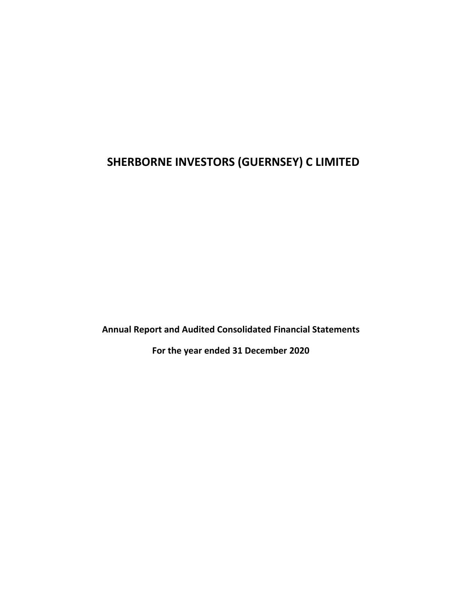# **SHERBORNE INVESTORS (GUERNSEY) C LIMITED**

**Annual Report and Audited Consolidated Financial Statements**

**For the year ended 31 December 2020**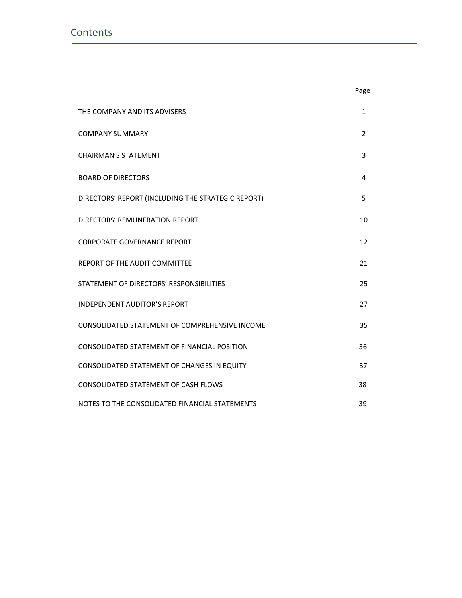# **Contents**

|                                                    | Page           |
|----------------------------------------------------|----------------|
| THE COMPANY AND ITS ADVISERS                       | $\mathbf{1}$   |
| <b>COMPANY SUMMARY</b>                             | $\overline{2}$ |
| <b>CHAIRMAN'S STATEMENT</b>                        | 3              |
| <b>BOARD OF DIRECTORS</b>                          | 4              |
| DIRECTORS' REPORT (INCLUDING THE STRATEGIC REPORT) | 5              |
| DIRECTORS' REMUNERATION REPORT                     | 10             |
| <b>CORPORATE GOVERNANCE REPORT</b>                 | 12             |
| <b>REPORT OF THE AUDIT COMMITTEE</b>               | 21             |
| STATEMENT OF DIRECTORS' RESPONSIBILITIES           | 25             |
| <b>INDEPENDENT AUDITOR'S REPORT</b>                | 27             |
| CONSOLIDATED STATEMENT OF COMPREHENSIVE INCOME     | 35             |
| CONSOLIDATED STATEMENT OF FINANCIAL POSITION       | 36             |
| CONSOLIDATED STATEMENT OF CHANGES IN EQUITY        | 37             |
| CONSOLIDATED STATEMENT OF CASH FLOWS               | 38             |
| NOTES TO THE CONSOLIDATED FINANCIAL STATEMENTS     | 39             |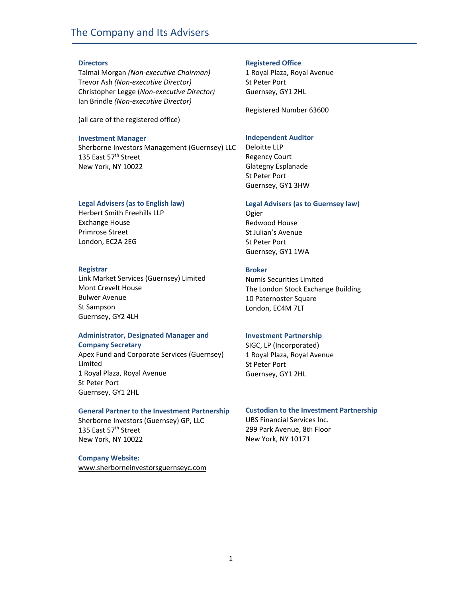# The Company and Its Advisers

#### **Directors**

Talmai Morgan *(Non‐executive Chairman)* Trevor Ash *(Non‐executive Director)* Christopher Legge (*Non‐executive Director)* Ian Brindle *(Non‐executive Director)*

(all care of the registered office)

#### **Investment Manager**

Sherborne Investors Management (Guernsey) LLC 135 East 57<sup>th</sup> Street New York, NY 10022

### **Legal Advisers (as to English law)**

Herbert Smith Freehills LLP Exchange House Primrose Street London, EC2A 2EG

#### **Registrar**

Link Market Services (Guernsey) Limited Mont Crevelt House Bulwer Avenue St Sampson Guernsey, GY2 4LH

### **Administrator, Designated Manager and Company Secretary**

Apex Fund and Corporate Services (Guernsey) Limited 1 Royal Plaza, Royal Avenue St Peter Port Guernsey, GY1 2HL

### **General Partner to the Investment Partnership**

Sherborne Investors (Guernsey) GP, LLC 135 East 57<sup>th</sup> Street New York, NY 10022

**Company Website:**  www.sherborneinvestorsguernseyc.com

#### **Registered Office**

1 Royal Plaza, Royal Avenue St Peter Port Guernsey, GY1 2HL

Registered Number 63600

### **Independent Auditor**

Deloitte LLP Regency Court Glategny Esplanade St Peter Port Guernsey, GY1 3HW

#### **Legal Advisers (as to Guernsey law)**

Ogier Redwood House St Julian's Avenue St Peter Port Guernsey, GY1 1WA

#### **Broker**

Numis Securities Limited The London Stock Exchange Building 10 Paternoster Square London, EC4M 7LT

### **Investment Partnership**

SIGC, LP (Incorporated) 1 Royal Plaza, Royal Avenue St Peter Port Guernsey, GY1 2HL

#### **Custodian to the Investment Partnership**

UBS Financial Services Inc. 299 Park Avenue, 8th Floor New York, NY 10171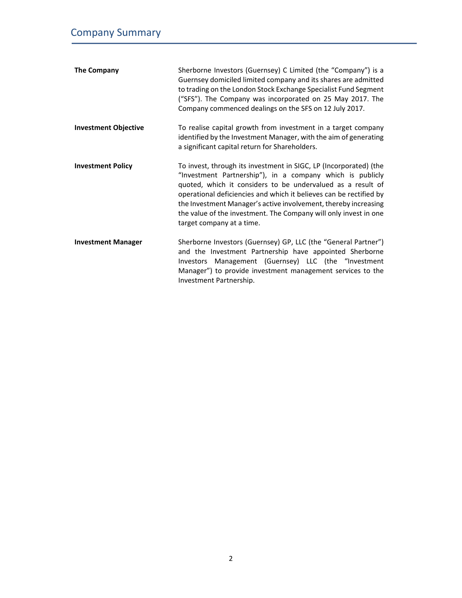| The Company                 | Sherborne Investors (Guernsey) C Limited (the "Company") is a<br>Guernsey domiciled limited company and its shares are admitted<br>to trading on the London Stock Exchange Specialist Fund Segment<br>("SFS"). The Company was incorporated on 25 May 2017. The<br>Company commenced dealings on the SFS on 12 July 2017.                                                                                                               |
|-----------------------------|-----------------------------------------------------------------------------------------------------------------------------------------------------------------------------------------------------------------------------------------------------------------------------------------------------------------------------------------------------------------------------------------------------------------------------------------|
| <b>Investment Objective</b> | To realise capital growth from investment in a target company<br>identified by the Investment Manager, with the aim of generating<br>a significant capital return for Shareholders.                                                                                                                                                                                                                                                     |
| <b>Investment Policy</b>    | To invest, through its investment in SIGC, LP (Incorporated) (the<br>"Investment Partnership"), in a company which is publicly<br>quoted, which it considers to be undervalued as a result of<br>operational deficiencies and which it believes can be rectified by<br>the Investment Manager's active involvement, thereby increasing<br>the value of the investment. The Company will only invest in one<br>target company at a time. |
| <b>Investment Manager</b>   | Sherborne Investors (Guernsey) GP, LLC (the "General Partner")<br>and the Investment Partnership have appointed Sherborne<br>Management (Guernsey) LLC (the "Investment<br>Investors<br>Manager") to provide investment management services to the<br>Investment Partnership.                                                                                                                                                           |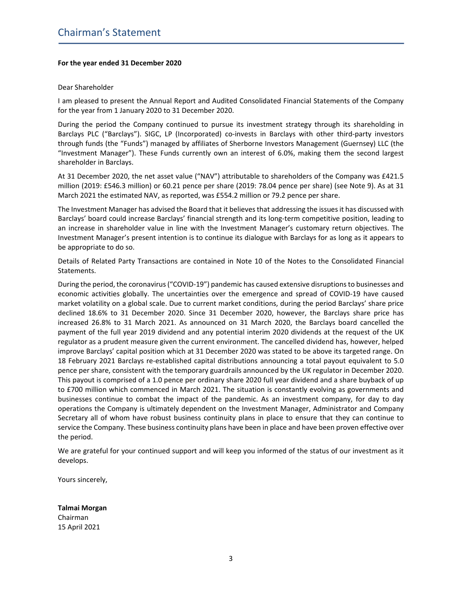### Dear Shareholder

I am pleased to present the Annual Report and Audited Consolidated Financial Statements of the Company for the year from 1 January 2020 to 31 December 2020.

During the period the Company continued to pursue its investment strategy through its shareholding in Barclays PLC ("Barclays"). SIGC, LP (Incorporated) co-invests in Barclays with other third-party investors through funds (the "Funds") managed by affiliates of Sherborne Investors Management (Guernsey) LLC (the "Investment Manager"). These Funds currently own an interest of 6.0%, making them the second largest shareholder in Barclays.

At 31 December 2020, the net asset value ("NAV") attributable to shareholders of the Company was £421.5 million (2019: £546.3 million) or 60.21 pence per share (2019: 78.04 pence per share) (see Note 9). As at 31 March 2021 the estimated NAV, as reported, was £554.2 million or 79.2 pence per share.

The Investment Manager has advised the Board that it believes that addressing the issues it has discussed with Barclays' board could increase Barclays' financial strength and its long-term competitive position, leading to an increase in shareholder value in line with the Investment Manager's customary return objectives. The Investment Manager's present intention is to continue its dialogue with Barclays for as long as it appears to be appropriate to do so.

Details of Related Party Transactions are contained in Note 10 of the Notes to the Consolidated Financial Statements.

During the period, the coronavirus ("COVID-19") pandemic has caused extensive disruptions to businesses and economic activities globally. The uncertainties over the emergence and spread of COVID‐19 have caused market volatility on a global scale. Due to current market conditions, during the period Barclays' share price declined 18.6% to 31 December 2020. Since 31 December 2020, however, the Barclays share price has increased 26.8% to 31 March 2021. As announced on 31 March 2020, the Barclays board cancelled the payment of the full year 2019 dividend and any potential interim 2020 dividends at the request of the UK regulator as a prudent measure given the current environment. The cancelled dividend has, however, helped improve Barclays' capital position which at 31 December 2020 was stated to be above its targeted range. On 18 February 2021 Barclays re-established capital distributions announcing a total payout equivalent to 5.0 pence per share, consistent with the temporary guardrails announced by the UK regulator in December 2020. This payout is comprised of a 1.0 pence per ordinary share 2020 full year dividend and a share buyback of up to £700 million which commenced in March 2021. The situation is constantly evolving as governments and businesses continue to combat the impact of the pandemic. As an investment company, for day to day operations the Company is ultimately dependent on the Investment Manager, Administrator and Company Secretary all of whom have robust business continuity plans in place to ensure that they can continue to service the Company. These business continuity plans have been in place and have been proven effective over the period.

We are grateful for your continued support and will keep you informed of the status of our investment as it develops.

Yours sincerely,

# **Talmai Morgan**

Chairman 15 April 2021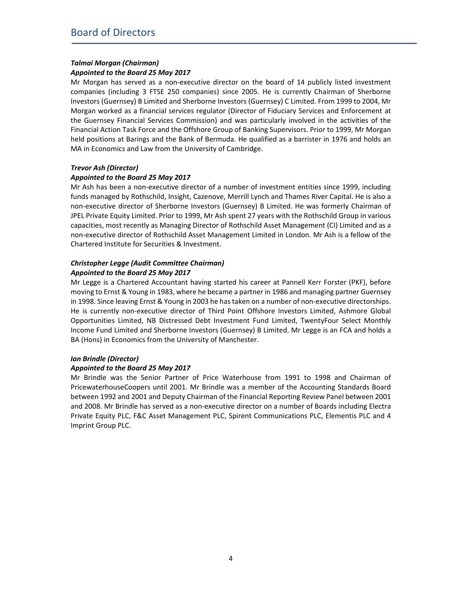# *Talmai Morgan (Chairman)*

# *Appointed to the Board 25 May 2017*

Mr Morgan has served as a non‐executive director on the board of 14 publicly listed investment companies (including 3 FTSE 250 companies) since 2005. He is currently Chairman of Sherborne Investors (Guernsey) B Limited and Sherborne Investors (Guernsey) C Limited. From 1999 to 2004, Mr Morgan worked as a financial services regulator (Director of Fiduciary Services and Enforcement at the Guernsey Financial Services Commission) and was particularly involved in the activities of the Financial Action Task Force and the Offshore Group of Banking Supervisors. Prior to 1999, Mr Morgan held positions at Barings and the Bank of Bermuda. He qualified as a barrister in 1976 and holds an MA in Economics and Law from the University of Cambridge.

# *Trevor Ash (Director)*

# *Appointed to the Board 25 May 2017*

Mr Ash has been a non‐executive director of a number of investment entities since 1999, including funds managed by Rothschild, Insight, Cazenove, Merrill Lynch and Thames River Capital. He is also a non‐executive director of Sherborne Investors (Guernsey) B Limited. He was formerly Chairman of JPEL Private Equity Limited. Prior to 1999, Mr Ash spent 27 years with the Rothschild Group in various capacities, most recently as Managing Director of Rothschild Asset Management (CI) Limited and as a non‐executive director of Rothschild Asset Management Limited in London. Mr Ash is a fellow of the Chartered Institute for Securities & Investment.

# *Christopher Legge (Audit Committee Chairman) Appointed to the Board 25 May 2017*

Mr Legge is a Chartered Accountant having started his career at Pannell Kerr Forster (PKF), before moving to Ernst & Young in 1983, where he became a partner in 1986 and managing partner Guernsey in 1998. Since leaving Ernst & Young in 2003 he has taken on a number of non-executive directorships. He is currently non‐executive director of Third Point Offshore Investors Limited, Ashmore Global Opportunities Limited, NB Distressed Debt Investment Fund Limited, TwentyFour Select Monthly Income Fund Limited and Sherborne Investors (Guernsey) B Limited. Mr Legge is an FCA and holds a BA (Hons) in Economics from the University of Manchester.

# *Ian Brindle (Director)*

### *Appointed to the Board 25 May 2017*

Mr Brindle was the Senior Partner of Price Waterhouse from 1991 to 1998 and Chairman of PricewaterhouseCoopers until 2001. Mr Brindle was a member of the Accounting Standards Board between 1992 and 2001 and Deputy Chairman of the Financial Reporting Review Panel between 2001 and 2008. Mr Brindle has served as a non‐executive director on a number of Boards including Electra Private Equity PLC, F&C Asset Management PLC, Spirent Communications PLC, Elementis PLC and 4 Imprint Group PLC.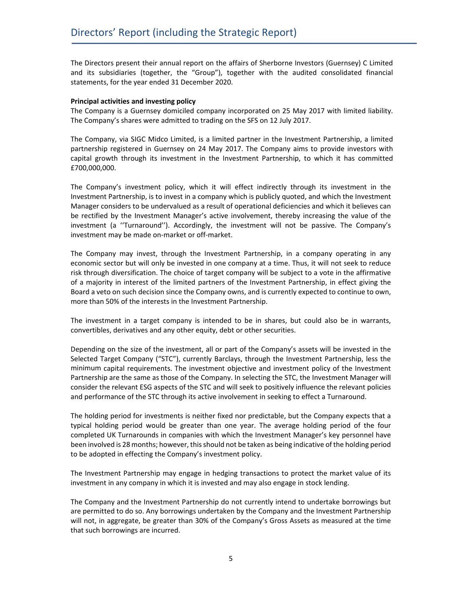The Directors present their annual report on the affairs of Sherborne Investors (Guernsey) C Limited and its subsidiaries (together, the "Group"), together with the audited consolidated financial statements, for the year ended 31 December 2020.

# **Principal activities and investing policy**

The Company is a Guernsey domiciled company incorporated on 25 May 2017 with limited liability. The Company's shares were admitted to trading on the SFS on 12 July 2017.

The Company, via SIGC Midco Limited, is a limited partner in the Investment Partnership, a limited partnership registered in Guernsey on 24 May 2017. The Company aims to provide investors with capital growth through its investment in the Investment Partnership, to which it has committed £700,000,000.

The Company's investment policy, which it will effect indirectly through its investment in the Investment Partnership, is to invest in a company which is publicly quoted, and which the Investment Manager considers to be undervalued as a result of operational deficiencies and which it believes can be rectified by the Investment Manager's active involvement, thereby increasing the value of the investment (a ''Turnaround''). Accordingly, the investment will not be passive. The Company's investment may be made on‐market or off‐market.

The Company may invest, through the Investment Partnership, in a company operating in any economic sector but will only be invested in one company at a time. Thus, it will not seek to reduce risk through diversification. The choice of target company will be subject to a vote in the affirmative of a majority in interest of the limited partners of the Investment Partnership, in effect giving the Board a veto on such decision since the Company owns, and is currently expected to continue to own, more than 50% of the interests in the Investment Partnership.

The investment in a target company is intended to be in shares, but could also be in warrants, convertibles, derivatives and any other equity, debt or other securities.

Depending on the size of the investment, all or part of the Company's assets will be invested in the Selected Target Company ("STC"), currently Barclays, through the Investment Partnership, less the minimum capital requirements. The investment objective and investment policy of the Investment Partnership are the same as those of the Company. In selecting the STC, the Investment Manager will consider the relevant ESG aspects of the STC and will seek to positively influence the relevant policies and performance of the STC through its active involvement in seeking to effect a Turnaround.

The holding period for investments is neither fixed nor predictable, but the Company expects that a typical holding period would be greater than one year. The average holding period of the four completed UK Turnarounds in companies with which the Investment Manager's key personnel have been involved is 28 months; however, this should not be taken as being indicative of the holding period to be adopted in effecting the Company's investment policy.

The Investment Partnership may engage in hedging transactions to protect the market value of its investment in any company in which it is invested and may also engage in stock lending.

The Company and the Investment Partnership do not currently intend to undertake borrowings but are permitted to do so. Any borrowings undertaken by the Company and the Investment Partnership will not, in aggregate, be greater than 30% of the Company's Gross Assets as measured at the time that such borrowings are incurred.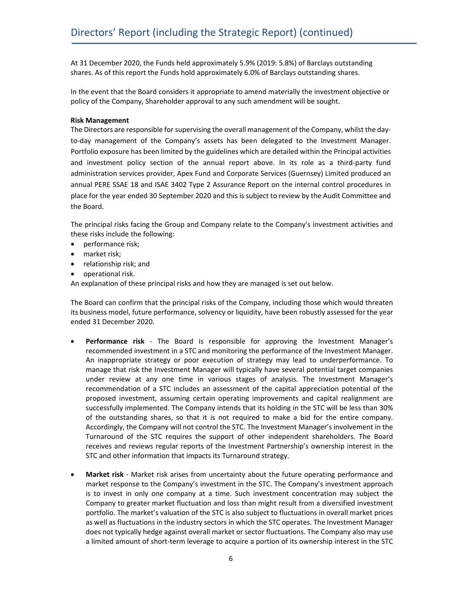At 31 December 2020, the Funds held approximately 5.9% (2019: 5.8%) of Barclays outstanding shares. As of this report the Funds hold approximately 6.0% of Barclays outstanding shares.

In the event that the Board considers it appropriate to amend materially the investment objective or policy of the Company, Shareholder approval to any such amendment will be sought.

# **Risk Management**

The Directors are responsible for supervising the overall management of the Company, whilst the day‐ to-day management of the Company's assets has been delegated to the Investment Manager. Portfolio exposure has been limited by the guidelines which are detailed within the Principal activities and investment policy section of the annual report above. In its role as a third‐party fund administration services provider, Apex Fund and Corporate Services (Guernsey) Limited produced an annual PERE SSAE 18 and ISAE 3402 Type 2 Assurance Report on the internal control procedures in place for the year ended 30 September 2020 and this is subject to review by the Audit Committee and the Board.

The principal risks facing the Group and Company relate to the Company's investment activities and these risks include the following:

- performance risk;
- market risk;
- relationship risk; and
- operational risk.

An explanation of these principal risks and how they are managed is set out below.

The Board can confirm that the principal risks of the Company, including those which would threaten its business model, future performance, solvency or liquidity, have been robustly assessed for the year ended 31 December 2020.

- **•** Performance risk The Board is responsible for approving the Investment Manager's recommended investment in a STC and monitoring the performance of the Investment Manager. An inappropriate strategy or poor execution of strategy may lead to underperformance. To manage that risk the Investment Manager will typically have several potential target companies under review at any one time in various stages of analysis. The Investment Manager's recommendation of a STC includes an assessment of the capital appreciation potential of the proposed investment, assuming certain operating improvements and capital realignment are successfully implemented. The Company intends that its holding in the STC will be less than 30% of the outstanding shares, so that it is not required to make a bid for the entire company. Accordingly, the Company will not control the STC. The Investment Manager's involvement in the Turnaround of the STC requires the support of other independent shareholders. The Board receives and reviews regular reports of the Investment Partnership's ownership interest in the STC and other information that impacts its Turnaround strategy.
- **Market risk** Market risk arises from uncertainty about the future operating performance and market response to the Company's investment in the STC. The Company's investment approach is to invest in only one company at a time. Such investment concentration may subject the Company to greater market fluctuation and loss than might result from a diversified investment portfolio. The market's valuation of the STC is also subject to fluctuations in overall market prices as well as fluctuations in the industry sectors in which the STC operates. The Investment Manager does not typically hedge against overall market or sector fluctuations. The Company also may use a limited amount of short‐term leverage to acquire a portion of its ownership interest in the STC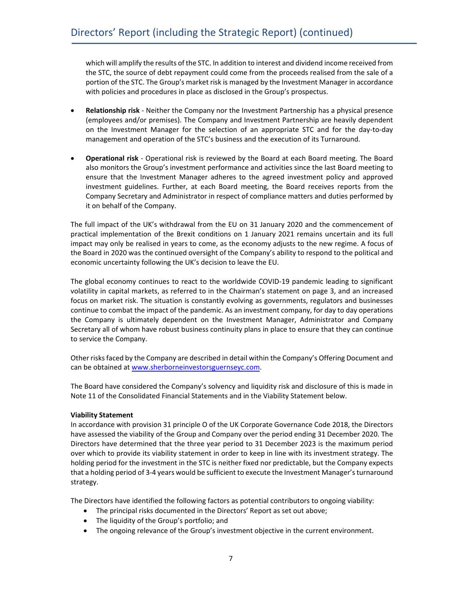which will amplify the results of the STC. In addition to interest and dividend income received from the STC, the source of debt repayment could come from the proceeds realised from the sale of a portion of the STC. The Group's market risk is managed by the Investment Manager in accordance with policies and procedures in place as disclosed in the Group's prospectus.

- **Relationship risk** ‐ Neither the Company nor the Investment Partnership has a physical presence (employees and/or premises). The Company and Investment Partnership are heavily dependent on the Investment Manager for the selection of an appropriate STC and for the day‐to‐day management and operation of the STC's business and the execution of its Turnaround.
- **Operational risk** ‐ Operational risk is reviewed by the Board at each Board meeting. The Board also monitors the Group's investment performance and activities since the last Board meeting to ensure that the Investment Manager adheres to the agreed investment policy and approved investment guidelines. Further, at each Board meeting, the Board receives reports from the Company Secretary and Administrator in respect of compliance matters and duties performed by it on behalf of the Company.

The full impact of the UK's withdrawal from the EU on 31 January 2020 and the commencement of practical implementation of the Brexit conditions on 1 January 2021 remains uncertain and its full impact may only be realised in years to come, as the economy adjusts to the new regime. A focus of the Board in 2020 was the continued oversight of the Company's ability to respond to the political and economic uncertainty following the UK's decision to leave the EU.

The global economy continues to react to the worldwide COVID‐19 pandemic leading to significant volatility in capital markets, as referred to in the Chairman's statement on page 3, and an increased focus on market risk. The situation is constantly evolving as governments, regulators and businesses continue to combat the impact of the pandemic. As an investment company, for day to day operations the Company is ultimately dependent on the Investment Manager, Administrator and Company Secretary all of whom have robust business continuity plans in place to ensure that they can continue to service the Company.

Other risks faced by the Company are described in detail within the Company's Offering Document and can be obtained at www.sherborneinvestorsguernseyc.com.

The Board have considered the Company's solvency and liquidity risk and disclosure of this is made in Note 11 of the Consolidated Financial Statements and in the Viability Statement below.

# **Viability Statement**

In accordance with provision 31 principle O of the UK Corporate Governance Code 2018, the Directors have assessed the viability of the Group and Company over the period ending 31 December 2020. The Directors have determined that the three year period to 31 December 2023 is the maximum period over which to provide its viability statement in order to keep in line with its investment strategy. The holding period for the investment in the STC is neither fixed nor predictable, but the Company expects that a holding period of 3‐4 years would be sufficient to execute the Investment Manager'sturnaround strategy.

The Directors have identified the following factors as potential contributors to ongoing viability:

- The principal risks documented in the Directors' Report as set out above;
- The liquidity of the Group's portfolio; and
- The ongoing relevance of the Group's investment objective in the current environment.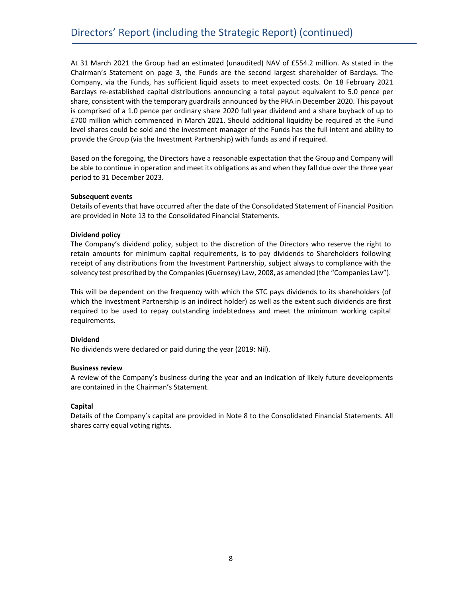At 31 March 2021 the Group had an estimated (unaudited) NAV of £554.2 million. As stated in the Chairman's Statement on page 3, the Funds are the second largest shareholder of Barclays. The Company, via the Funds, has sufficient liquid assets to meet expected costs. On 18 February 2021 Barclays re‐established capital distributions announcing a total payout equivalent to 5.0 pence per share, consistent with the temporary guardrails announced by the PRA in December 2020. This payout is comprised of a 1.0 pence per ordinary share 2020 full year dividend and a share buyback of up to £700 million which commenced in March 2021. Should additional liquidity be required at the Fund level shares could be sold and the investment manager of the Funds has the full intent and ability to provide the Group (via the Investment Partnership) with funds as and if required.

Based on the foregoing, the Directors have a reasonable expectation that the Group and Company will be able to continue in operation and meet its obligations as and when they fall due over the three year period to 31 December 2023.

# **Subsequent events**

Details of events that have occurred after the date of the Consolidated Statement of Financial Position are provided in Note 13 to the Consolidated Financial Statements.

# **Dividend policy**

The Company's dividend policy, subject to the discretion of the Directors who reserve the right to retain amounts for minimum capital requirements, is to pay dividends to Shareholders following receipt of any distributions from the Investment Partnership, subject always to compliance with the solvency test prescribed by the Companies (Guernsey) Law, 2008, as amended (the "Companies Law").

This will be dependent on the frequency with which the STC pays dividends to its shareholders (of which the Investment Partnership is an indirect holder) as well as the extent such dividends are first required to be used to repay outstanding indebtedness and meet the minimum working capital requirements.

### **Dividend**

No dividends were declared or paid during the year (2019: Nil).

### **Business review**

A review of the Company's business during the year and an indication of likely future developments are contained in the Chairman's Statement.

### **Capital**

Details of the Company's capital are provided in Note 8 to the Consolidated Financial Statements. All shares carry equal voting rights.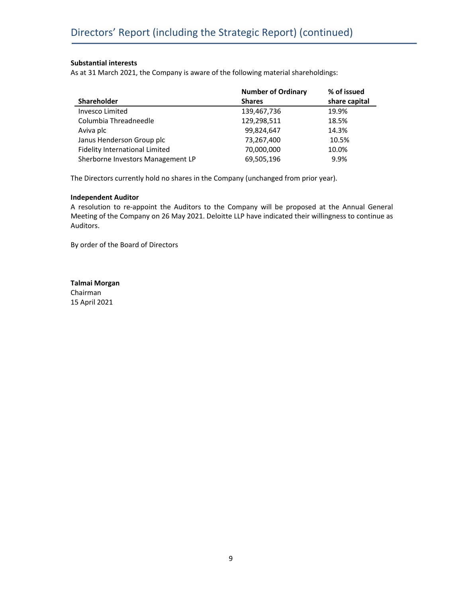# **Substantial interests**

As at 31 March 2021, the Company is aware of the following material shareholdings:

|                                   | <b>Number of Ordinary</b> | % of issued   |
|-----------------------------------|---------------------------|---------------|
| <b>Shareholder</b>                | <b>Shares</b>             | share capital |
| Invesco Limited                   | 139,467,736               | 19.9%         |
| Columbia Threadneedle             | 129,298,511               | 18.5%         |
| Aviva plc                         | 99,824,647                | 14.3%         |
| Janus Henderson Group plc         | 73,267,400                | 10.5%         |
| Fidelity International Limited    | 70,000,000                | 10.0%         |
| Sherborne Investors Management LP | 69,505,196                | 9.9%          |

The Directors currently hold no shares in the Company (unchanged from prior year).

### **Independent Auditor**

A resolution to re‐appoint the Auditors to the Company will be proposed at the Annual General Meeting of the Company on 26 May 2021. Deloitte LLP have indicated their willingness to continue as Auditors.

By order of the Board of Directors

**Talmai Morgan** Chairman 15 April 2021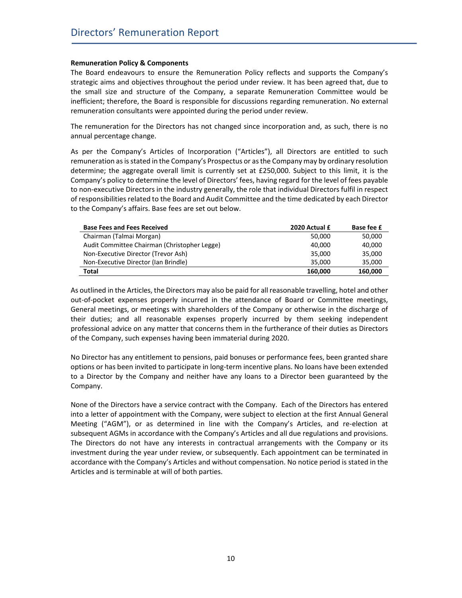### **Remuneration Policy & Components**

The Board endeavours to ensure the Remuneration Policy reflects and supports the Company's strategic aims and objectives throughout the period under review. It has been agreed that, due to the small size and structure of the Company, a separate Remuneration Committee would be inefficient; therefore, the Board is responsible for discussions regarding remuneration. No external remuneration consultants were appointed during the period under review.

The remuneration for the Directors has not changed since incorporation and, as such, there is no annual percentage change.

As per the Company's Articles of Incorporation ("Articles"), all Directors are entitled to such remuneration as is stated in the Company's Prospectus or as the Company may by ordinary resolution determine; the aggregate overall limit is currently set at £250,000. Subject to this limit, it is the Company's policy to determine the level of Directors' fees, having regard for the level of fees payable to non‐executive Directors in the industry generally, the role that individual Directors fulfil in respect of responsibilities related to the Board and Audit Committee and the time dedicated by each Director to the Company's affairs. Base fees are set out below.

| <b>Base Fees and Fees Received</b>           | 2020 Actual £ | <b>Base fee £</b> |
|----------------------------------------------|---------------|-------------------|
| Chairman (Talmai Morgan)                     | 50.000        | 50,000            |
| Audit Committee Chairman (Christopher Legge) | 40.000        | 40,000            |
| Non-Executive Director (Trevor Ash)          | 35,000        | 35,000            |
| Non-Executive Director (Ian Brindle)         | 35,000        | 35,000            |
| Total                                        | 160,000       | 160,000           |

As outlined in the Articles, the Directors may also be paid for all reasonable travelling, hotel and other out‐of‐pocket expenses properly incurred in the attendance of Board or Committee meetings, General meetings, or meetings with shareholders of the Company or otherwise in the discharge of their duties; and all reasonable expenses properly incurred by them seeking independent professional advice on any matter that concerns them in the furtherance of their duties as Directors of the Company, such expenses having been immaterial during 2020.

No Director has any entitlement to pensions, paid bonuses or performance fees, been granted share options or has been invited to participate in long‐term incentive plans. No loans have been extended to a Director by the Company and neither have any loans to a Director been guaranteed by the Company.

None of the Directors have a service contract with the Company. Each of the Directors has entered into a letter of appointment with the Company, were subject to election at the first Annual General Meeting ("AGM"), or as determined in line with the Company's Articles, and re‐election at subsequent AGMs in accordance with the Company's Articles and all due regulations and provisions. The Directors do not have any interests in contractual arrangements with the Company or its investment during the year under review, or subsequently. Each appointment can be terminated in accordance with the Company's Articles and without compensation. No notice period is stated in the Articles and is terminable at will of both parties.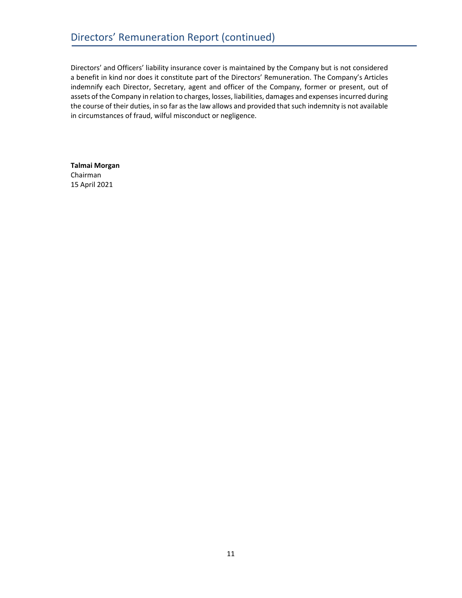Directors' and Officers' liability insurance cover is maintained by the Company but is not considered a benefit in kind nor does it constitute part of the Directors' Remuneration. The Company's Articles indemnify each Director, Secretary, agent and officer of the Company, former or present, out of assets of the Company in relation to charges, losses, liabilities, damages and expenses incurred during the course of their duties, in so far as the law allows and provided that such indemnity is not available in circumstances of fraud, wilful misconduct or negligence.

**Talmai Morgan** Chairman 15 April 2021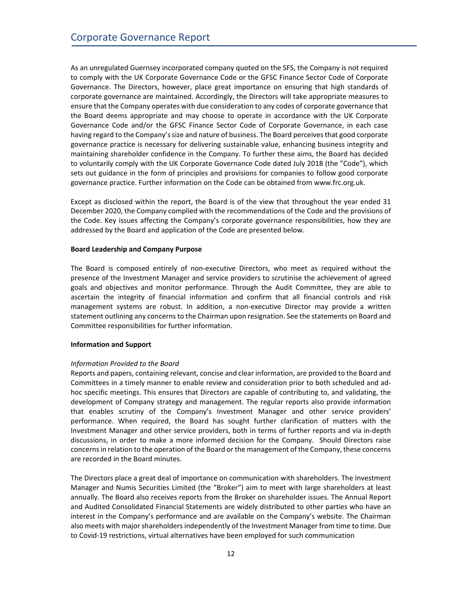As an unregulated Guernsey incorporated company quoted on the SFS, the Company is not required to comply with the UK Corporate Governance Code or the GFSC Finance Sector Code of Corporate Governance. The Directors, however, place great importance on ensuring that high standards of corporate governance are maintained. Accordingly, the Directors will take appropriate measures to ensure that the Company operates with due consideration to any codes of corporate governance that the Board deems appropriate and may choose to operate in accordance with the UK Corporate Governance Code and/or the GFSC Finance Sector Code of Corporate Governance, in each case having regard to the Company's size and nature of business. The Board perceives that good corporate governance practice is necessary for delivering sustainable value, enhancing business integrity and maintaining shareholder confidence in the Company. To further these aims, the Board has decided to voluntarily comply with the UK Corporate Governance Code dated July 2018 (the "Code"), which sets out guidance in the form of principles and provisions for companies to follow good corporate governance practice. Further information on the Code can be obtained from www.frc.org.uk.

Except as disclosed within the report, the Board is of the view that throughout the year ended 31 December 2020, the Company complied with the recommendations of the Code and the provisions of the Code. Key issues affecting the Company's corporate governance responsibilities, how they are addressed by the Board and application of the Code are presented below.

### **Board Leadership and Company Purpose**

The Board is composed entirely of non‐executive Directors, who meet as required without the presence of the Investment Manager and service providers to scrutinise the achievement of agreed goals and objectives and monitor performance. Through the Audit Committee, they are able to ascertain the integrity of financial information and confirm that all financial controls and risk management systems are robust. In addition, a non-executive Director may provide a written statement outlining any concerns to the Chairman upon resignation. See the statements on Board and Committee responsibilities for further information.

#### **Information and Support**

### *Information Provided to the Board*

Reports and papers, containing relevant, concise and clear information, are provided to the Board and Committees in a timely manner to enable review and consideration prior to both scheduled and ad‐ hoc specific meetings. This ensures that Directors are capable of contributing to, and validating, the development of Company strategy and management. The regular reports also provide information that enables scrutiny of the Company's Investment Manager and other service providers' performance. When required, the Board has sought further clarification of matters with the Investment Manager and other service providers, both in terms of further reports and via in‐depth discussions, in order to make a more informed decision for the Company. Should Directors raise concerns in relation to the operation of the Board or the management of the Company, these concerns are recorded in the Board minutes.

The Directors place a great deal of importance on communication with shareholders. The Investment Manager and Numis Securities Limited (the "Broker") aim to meet with large shareholders at least annually. The Board also receives reports from the Broker on shareholder issues. The Annual Report and Audited Consolidated Financial Statements are widely distributed to other parties who have an interest in the Company's performance and are available on the Company's website. The Chairman also meets with major shareholders independently of the Investment Manager from time to time. Due to Covid‐19 restrictions, virtual alternatives have been employed for such communication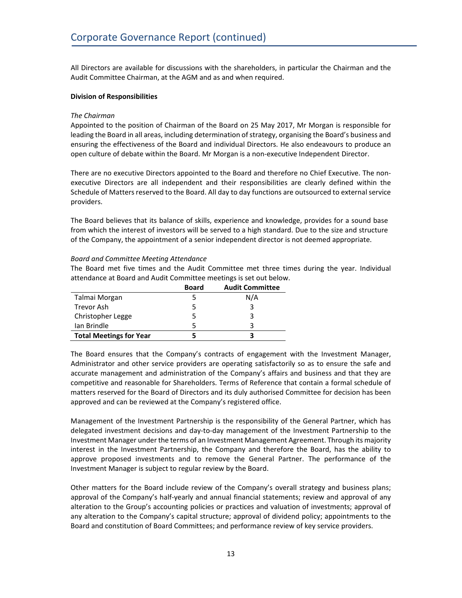All Directors are available for discussions with the shareholders, in particular the Chairman and the Audit Committee Chairman, at the AGM and as and when required.

### **Division of Responsibilities**

#### *The Chairman*

Appointed to the position of Chairman of the Board on 25 May 2017, Mr Morgan is responsible for leading the Board in all areas, including determination of strategy, organising the Board's business and ensuring the effectiveness of the Board and individual Directors. He also endeavours to produce an open culture of debate within the Board. Mr Morgan is a non‐executive Independent Director.

There are no executive Directors appointed to the Board and therefore no Chief Executive. The non‐ executive Directors are all independent and their responsibilities are clearly defined within the Schedule of Matters reserved to the Board. All day to day functions are outsourced to external service providers.

The Board believes that its balance of skills, experience and knowledge, provides for a sound base from which the interest of investors will be served to a high standard. Due to the size and structure of the Company, the appointment of a senior independent director is not deemed appropriate.

### *Board and Committee Meeting Attendance*

The Board met five times and the Audit Committee met three times during the year. Individual attendance at Board and Audit Committee meetings is set out below.

|                                | <b>Board</b> | <b>Audit Committee</b> |
|--------------------------------|--------------|------------------------|
| Talmai Morgan                  |              | N/A                    |
| Trevor Ash                     |              |                        |
| Christopher Legge              |              |                        |
| Ian Brindle                    |              |                        |
| <b>Total Meetings for Year</b> |              |                        |

The Board ensures that the Company's contracts of engagement with the Investment Manager, Administrator and other service providers are operating satisfactorily so as to ensure the safe and accurate management and administration of the Company's affairs and business and that they are competitive and reasonable for Shareholders. Terms of Reference that contain a formal schedule of matters reserved for the Board of Directors and its duly authorised Committee for decision has been approved and can be reviewed at the Company's registered office.

Management of the Investment Partnership is the responsibility of the General Partner, which has delegated investment decisions and day‐to‐day management of the Investment Partnership to the Investment Manager underthe terms of an Investment Management Agreement. Through its majority interest in the Investment Partnership, the Company and therefore the Board, has the ability to approve proposed investments and to remove the General Partner. The performance of the Investment Manager is subject to regular review by the Board.

Other matters for the Board include review of the Company's overall strategy and business plans; approval of the Company's half‐yearly and annual financial statements; review and approval of any alteration to the Group's accounting policies or practices and valuation of investments; approval of any alteration to the Company's capital structure; approval of dividend policy; appointments to the Board and constitution of Board Committees; and performance review of key service providers.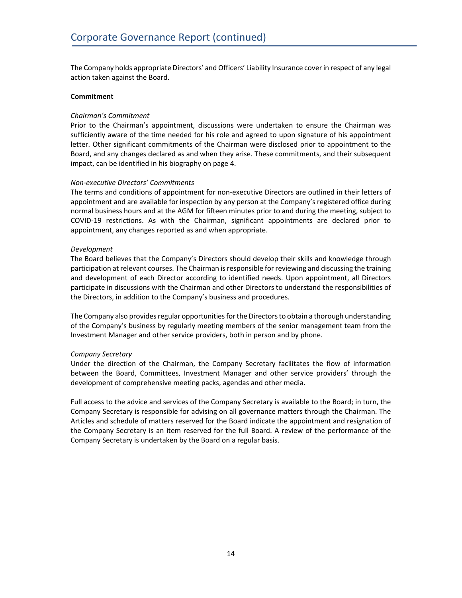The Company holds appropriate Directors' and Officers' Liability Insurance coverin respect of any legal action taken against the Board.

### **Commitment**

### *Chairman's Commitment*

Prior to the Chairman's appointment, discussions were undertaken to ensure the Chairman was sufficiently aware of the time needed for his role and agreed to upon signature of his appointment letter. Other significant commitments of the Chairman were disclosed prior to appointment to the Board, and any changes declared as and when they arise. These commitments, and their subsequent impact, can be identified in his biography on page 4.

### *Non‐executive Directors' Commitments*

The terms and conditions of appointment for non‐executive Directors are outlined in their letters of appointment and are available for inspection by any person at the Company's registered office during normal business hours and at the AGM for fifteen minutes prior to and during the meeting, subject to COVID‐19 restrictions. As with the Chairman, significant appointments are declared prior to appointment, any changes reported as and when appropriate.

### *Development*

The Board believes that the Company's Directors should develop their skills and knowledge through participation at relevant courses. The Chairman is responsible for reviewing and discussing the training and development of each Director according to identified needs. Upon appointment, all Directors participate in discussions with the Chairman and other Directors to understand the responsibilities of the Directors, in addition to the Company's business and procedures.

The Company also provides regular opportunities for the Directors to obtain a thorough understanding of the Company's business by regularly meeting members of the senior management team from the Investment Manager and other service providers, both in person and by phone.

#### *Company Secretary*

Under the direction of the Chairman, the Company Secretary facilitates the flow of information between the Board, Committees, Investment Manager and other service providers' through the development of comprehensive meeting packs, agendas and other media.

Full access to the advice and services of the Company Secretary is available to the Board; in turn, the Company Secretary is responsible for advising on all governance matters through the Chairman. The Articles and schedule of matters reserved for the Board indicate the appointment and resignation of the Company Secretary is an item reserved for the full Board. A review of the performance of the Company Secretary is undertaken by the Board on a regular basis.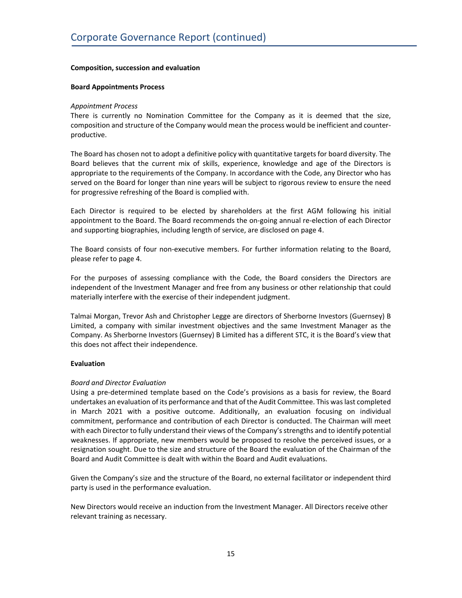### **Composition, succession and evaluation**

#### **Board Appointments Process**

### *Appointment Process*

There is currently no Nomination Committee for the Company as it is deemed that the size, composition and structure of the Company would mean the process would be inefficient and counter‐ productive.

The Board has chosen not to adopt a definitive policy with quantitative targetsfor board diversity. The Board believes that the current mix of skills, experience, knowledge and age of the Directors is appropriate to the requirements of the Company. In accordance with the Code, any Director who has served on the Board for longer than nine years will be subject to rigorous review to ensure the need for progressive refreshing of the Board is complied with.

Each Director is required to be elected by shareholders at the first AGM following his initial appointment to the Board. The Board recommends the on‐going annual re‐election of each Director and supporting biographies, including length of service, are disclosed on page 4.

The Board consists of four non‐executive members. For further information relating to the Board, please refer to page 4.

For the purposes of assessing compliance with the Code, the Board considers the Directors are independent of the Investment Manager and free from any business or other relationship that could materially interfere with the exercise of their independent judgment.

Talmai Morgan, Trevor Ash and Christopher Legge are directors of Sherborne Investors (Guernsey) B Limited, a company with similar investment objectives and the same Investment Manager as the Company. As Sherborne Investors (Guernsey) B Limited has a different STC, it is the Board's view that this does not affect their independence.

### **Evaluation**

### *Board and Director Evaluation*

Using a pre‐determined template based on the Code's provisions as a basis for review, the Board undertakes an evaluation of its performance and that of the Audit Committee. This waslast completed in March 2021 with a positive outcome. Additionally, an evaluation focusing on individual commitment, performance and contribution of each Director is conducted. The Chairman will meet with each Director to fully understand their views of the Company's strengths and to identify potential weaknesses. If appropriate, new members would be proposed to resolve the perceived issues, or a resignation sought. Due to the size and structure of the Board the evaluation of the Chairman of the Board and Audit Committee is dealt with within the Board and Audit evaluations.

Given the Company's size and the structure of the Board, no external facilitator or independent third party is used in the performance evaluation.

New Directors would receive an induction from the Investment Manager. All Directors receive other relevant training as necessary.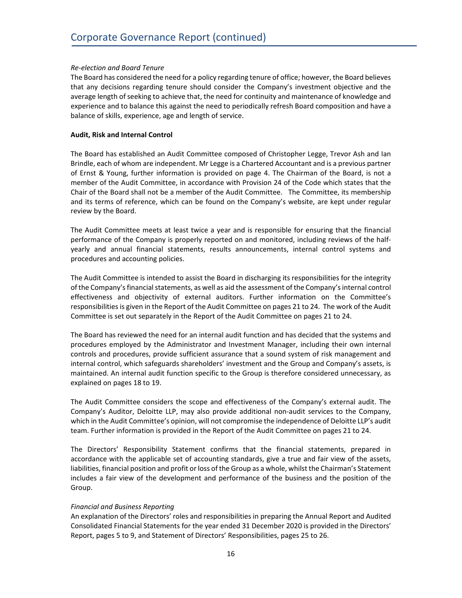### *Re‐election and Board Tenure*

The Board has considered the need for a policy regarding tenure of office; however, the Board believes that any decisions regarding tenure should consider the Company's investment objective and the average length of seeking to achieve that, the need for continuity and maintenance of knowledge and experience and to balance this against the need to periodically refresh Board composition and have a balance of skills, experience, age and length of service.

# **Audit, Risk and Internal Control**

The Board has established an Audit Committee composed of Christopher Legge, Trevor Ash and Ian Brindle, each of whom are independent. Mr Legge is a Chartered Accountant and is a previous partner of Ernst & Young, further information is provided on page 4. The Chairman of the Board, is not a member of the Audit Committee, in accordance with Provision 24 of the Code which states that the Chair of the Board shall not be a member of the Audit Committee. The Committee, its membership and its terms of reference, which can be found on the Company's website, are kept under regular review by the Board.

The Audit Committee meets at least twice a year and is responsible for ensuring that the financial performance of the Company is properly reported on and monitored, including reviews of the half‐ yearly and annual financial statements, results announcements, internal control systems and procedures and accounting policies.

The Audit Committee is intended to assist the Board in discharging its responsibilities for the integrity of the Company's financial statements, as well as aid the assessment of the Company's internal control effectiveness and objectivity of external auditors. Further information on the Committee's responsibilities is given in the Report of the Audit Committee on pages 21 to 24. The work of the Audit Committee is set out separately in the Report of the Audit Committee on pages 21 to 24.

The Board has reviewed the need for an internal audit function and has decided that the systems and procedures employed by the Administrator and Investment Manager, including their own internal controls and procedures, provide sufficient assurance that a sound system of risk management and internal control, which safeguards shareholders' investment and the Group and Company's assets, is maintained. An internal audit function specific to the Group is therefore considered unnecessary, as explained on pages 18 to 19.

The Audit Committee considers the scope and effectiveness of the Company's external audit. The Company's Auditor, Deloitte LLP, may also provide additional non‐audit services to the Company, which in the Audit Committee's opinion, will not compromise the independence of Deloitte LLP's audit team. Further information is provided in the Report of the Audit Committee on pages 21 to 24.

The Directors' Responsibility Statement confirms that the financial statements, prepared in accordance with the applicable set of accounting standards, give a true and fair view of the assets, liabilities, financial position and profit or loss of the Group as a whole, whilst the Chairman's Statement includes a fair view of the development and performance of the business and the position of the Group.

# *Financial and Business Reporting*

An explanation of the Directors' roles and responsibilities in preparing the Annual Report and Audited Consolidated Financial Statements for the year ended 31 December 2020 is provided in the Directors' Report, pages 5 to 9, and Statement of Directors' Responsibilities, pages 25 to 26.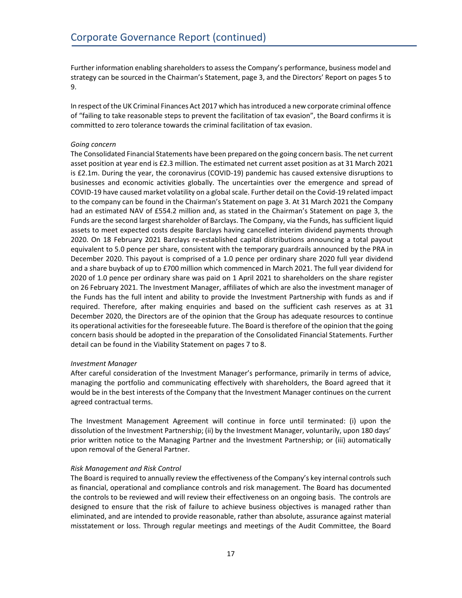Further information enabling shareholders to assess the Company's performance, business model and strategy can be sourced in the Chairman's Statement, page 3, and the Directors' Report on pages 5 to 9.

In respect of the UK Criminal Finances Act 2017 which has introduced a new corporate criminal offence of "failing to take reasonable steps to prevent the facilitation of tax evasion", the Board confirms it is committed to zero tolerance towards the criminal facilitation of tax evasion.

### *Going concern*

The Consolidated Financial Statements have been prepared on the going concern basis. The net current asset position at year end is £2.3 million. The estimated net current asset position as at 31 March 2021 is £2.1m. During the year, the coronavirus (COVID‐19) pandemic has caused extensive disruptions to businesses and economic activities globally. The uncertainties over the emergence and spread of COVID-19 have caused market volatility on a global scale. Further detail on the Covid-19 related impact to the company can be found in the Chairman's Statement on page 3. At 31 March 2021 the Company had an estimated NAV of £554.2 million and, as stated in the Chairman's Statement on page 3, the Funds are the second largest shareholder of Barclays. The Company, via the Funds, has sufficient liquid assets to meet expected costs despite Barclays having cancelled interim dividend payments through 2020. On 18 February 2021 Barclays re‐established capital distributions announcing a total payout equivalent to 5.0 pence per share, consistent with the temporary guardrails announced by the PRA in December 2020. This payout is comprised of a 1.0 pence per ordinary share 2020 full year dividend and a share buyback of up to £700 million which commenced in March 2021. The full year dividend for 2020 of 1.0 pence per ordinary share was paid on 1 April 2021 to shareholders on the share register on 26 February 2021. The Investment Manager, affiliates of which are also the investment manager of the Funds has the full intent and ability to provide the Investment Partnership with funds as and if required. Therefore, after making enquiries and based on the sufficient cash reserves as at 31 December 2020, the Directors are of the opinion that the Group has adequate resources to continue its operational activities for the foreseeable future. The Board is therefore of the opinion that the going concern basis should be adopted in the preparation of the Consolidated Financial Statements. Further detail can be found in the Viability Statement on pages 7 to 8.

#### *Investment Manager*

After careful consideration of the Investment Manager's performance, primarily in terms of advice, managing the portfolio and communicating effectively with shareholders, the Board agreed that it would be in the best interests of the Company that the Investment Manager continues on the current agreed contractual terms.

The Investment Management Agreement will continue in force until terminated: (i) upon the dissolution of the Investment Partnership; (ii) by the Investment Manager, voluntarily, upon 180 days' prior written notice to the Managing Partner and the Investment Partnership; or (iii) automatically upon removal of the General Partner.

### *Risk Management and Risk Control*

The Board is required to annually review the effectiveness of the Company's key internal controls such as financial, operational and compliance controls and risk management. The Board has documented the controls to be reviewed and will review their effectiveness on an ongoing basis. The controls are designed to ensure that the risk of failure to achieve business objectives is managed rather than eliminated, and are intended to provide reasonable, rather than absolute, assurance against material misstatement or loss. Through regular meetings and meetings of the Audit Committee, the Board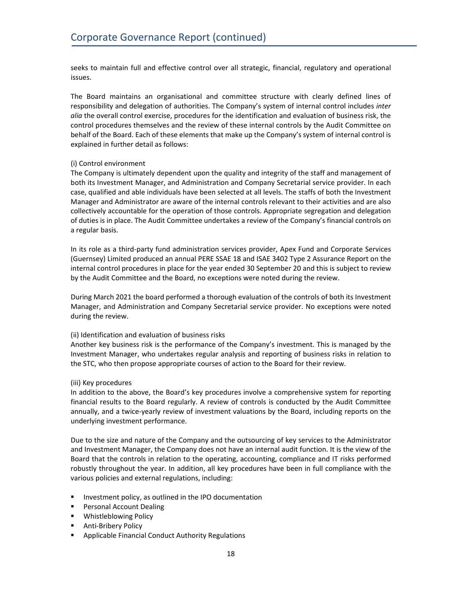seeks to maintain full and effective control over all strategic, financial, regulatory and operational issues.

The Board maintains an organisational and committee structure with clearly defined lines of responsibility and delegation of authorities. The Company's system of internal control includes *inter alia* the overall control exercise, procedures for the identification and evaluation of business risk, the control procedures themselves and the review of these internal controls by the Audit Committee on behalf of the Board. Each of these elements that make up the Company's system of internal control is explained in further detail as follows:

# (i) Control environment

The Company is ultimately dependent upon the quality and integrity of the staff and management of both its Investment Manager, and Administration and Company Secretarial service provider. In each case, qualified and able individuals have been selected at all levels. The staffs of both the Investment Manager and Administrator are aware of the internal controls relevant to their activities and are also collectively accountable for the operation of those controls. Appropriate segregation and delegation of duties is in place. The Audit Committee undertakes a review of the Company's financial controls on a regular basis.

In its role as a third-party fund administration services provider, Apex Fund and Corporate Services (Guernsey) Limited produced an annual PERE SSAE 18 and ISAE 3402 Type 2 Assurance Report on the internal control procedures in place for the year ended 30 September 20 and this is subject to review by the Audit Committee and the Board, no exceptions were noted during the review.

During March 2021 the board performed a thorough evaluation of the controls of both its Investment Manager, and Administration and Company Secretarial service provider. No exceptions were noted during the review.

### (ii) Identification and evaluation of business risks

Another key business risk is the performance of the Company's investment. This is managed by the Investment Manager, who undertakes regular analysis and reporting of business risks in relation to the STC, who then propose appropriate courses of action to the Board for their review.

### (iii) Key procedures

In addition to the above, the Board's key procedures involve a comprehensive system for reporting financial results to the Board regularly. A review of controls is conducted by the Audit Committee annually, and a twice‐yearly review of investment valuations by the Board, including reports on the underlying investment performance.

Due to the size and nature of the Company and the outsourcing of key services to the Administrator and Investment Manager, the Company does not have an internal audit function. It is the view of the Board that the controls in relation to the operating, accounting, compliance and IT risks performed robustly throughout the year. In addition, all key procedures have been in full compliance with the various policies and external regulations, including:

- **IDED Investment policy, as outlined in the IPO documentation**
- Personal Account Dealing
- **Whistleblowing Policy**
- Anti-Bribery Policy
- **Applicable Financial Conduct Authority Regulations**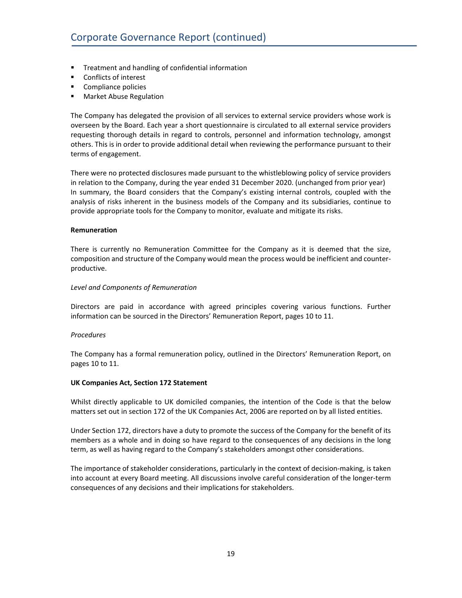- **Treatment and handling of confidential information**
- **EXECONFLICTS** of interest
- **Compliance policies**
- **Market Abuse Regulation**

The Company has delegated the provision of all services to external service providers whose work is overseen by the Board. Each year a short questionnaire is circulated to all external service providers requesting thorough details in regard to controls, personnel and information technology, amongst others. This is in order to provide additional detail when reviewing the performance pursuant to their terms of engagement.

There were no protected disclosures made pursuant to the whistleblowing policy of service providers in relation to the Company, during the year ended 31 December 2020. (unchanged from prior year) In summary, the Board considers that the Company's existing internal controls, coupled with the analysis of risks inherent in the business models of the Company and its subsidiaries, continue to provide appropriate tools for the Company to monitor, evaluate and mitigate its risks.

### **Remuneration**

There is currently no Remuneration Committee for the Company as it is deemed that the size, composition and structure of the Company would mean the process would be inefficient and counter‐ productive.

### *Level and Components of Remuneration*

Directors are paid in accordance with agreed principles covering various functions. Further information can be sourced in the Directors' Remuneration Report, pages 10 to 11.

### *Procedures*

The Company has a formal remuneration policy, outlined in the Directors' Remuneration Report, on pages 10 to 11.

#### **UK Companies Act, Section 172 Statement**

Whilst directly applicable to UK domiciled companies, the intention of the Code is that the below matters set out in section 172 of the UK Companies Act, 2006 are reported on by all listed entities.

Under Section 172, directors have a duty to promote the success of the Company for the benefit of its members as a whole and in doing so have regard to the consequences of any decisions in the long term, as well as having regard to the Company's stakeholders amongst other considerations.

The importance of stakeholder considerations, particularly in the context of decision-making, is taken into account at every Board meeting. All discussions involve careful consideration of the longer‐term consequences of any decisions and their implications for stakeholders.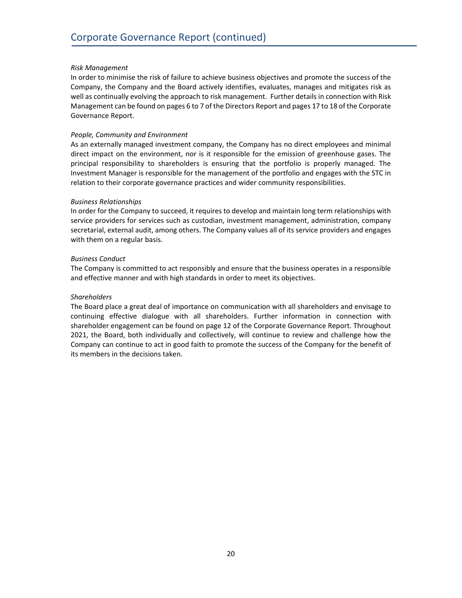### *Risk Management*

In order to minimise the risk of failure to achieve business objectives and promote the success of the Company, the Company and the Board actively identifies, evaluates, manages and mitigates risk as well as continually evolving the approach to risk management. Further details in connection with Risk Management can be found on pages 6 to 7 of the Directors Report and pages 17 to 18 of the Corporate Governance Report.

### *People, Community and Environment*

As an externally managed investment company, the Company has no direct employees and minimal direct impact on the environment, nor is it responsible for the emission of greenhouse gases. The principal responsibility to shareholders is ensuring that the portfolio is properly managed. The Investment Manager is responsible for the management of the portfolio and engages with the STC in relation to their corporate governance practices and wider community responsibilities.

### *Business Relationships*

In order for the Company to succeed, it requires to develop and maintain long term relationships with service providers for services such as custodian, investment management, administration, company secretarial, external audit, among others. The Company values all of its service providers and engages with them on a regular basis.

### *Business Conduct*

The Company is committed to act responsibly and ensure that the business operates in a responsible and effective manner and with high standards in order to meet its objectives.

### *Shareholders*

The Board place a great deal of importance on communication with all shareholders and envisage to continuing effective dialogue with all shareholders. Further information in connection with shareholder engagement can be found on page 12 of the Corporate Governance Report. Throughout 2021, the Board, both individually and collectively, will continue to review and challenge how the Company can continue to act in good faith to promote the success of the Company for the benefit of its members in the decisions taken.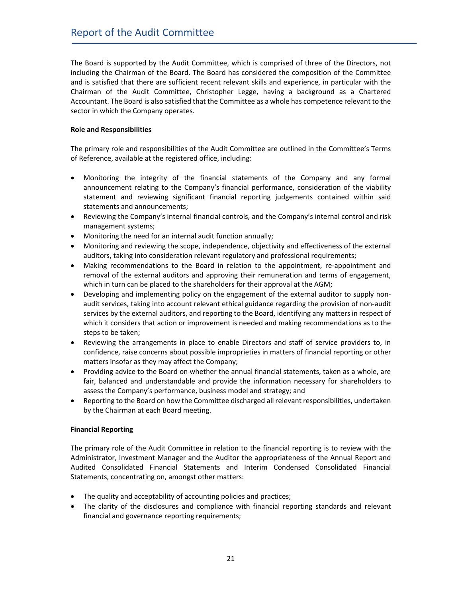The Board is supported by the Audit Committee, which is comprised of three of the Directors, not including the Chairman of the Board. The Board has considered the composition of the Committee and is satisfied that there are sufficient recent relevant skills and experience, in particular with the Chairman of the Audit Committee, Christopher Legge, having a background as a Chartered Accountant. The Board is also satisfied that the Committee as a whole has competence relevant to the sector in which the Company operates.

# **Role and Responsibilities**

The primary role and responsibilities of the Audit Committee are outlined in the Committee's Terms of Reference, available at the registered office, including:

- Monitoring the integrity of the financial statements of the Company and any formal announcement relating to the Company's financial performance, consideration of the viability statement and reviewing significant financial reporting judgements contained within said statements and announcements;
- Reviewing the Company's internal financial controls, and the Company's internal control and risk management systems;
- Monitoring the need for an internal audit function annually;
- Monitoring and reviewing the scope, independence, objectivity and effectiveness of the external auditors, taking into consideration relevant regulatory and professional requirements;
- Making recommendations to the Board in relation to the appointment, re-appointment and removal of the external auditors and approving their remuneration and terms of engagement, which in turn can be placed to the shareholders for their approval at the AGM;
- Developing and implementing policy on the engagement of the external auditor to supply nonaudit services, taking into account relevant ethical guidance regarding the provision of non‐audit services by the external auditors, and reporting to the Board, identifying any matters in respect of which it considers that action or improvement is needed and making recommendations as to the steps to be taken;
- Reviewing the arrangements in place to enable Directors and staff of service providers to, in confidence, raise concerns about possible improprieties in matters of financial reporting or other matters insofar as they may affect the Company;
- Providing advice to the Board on whether the annual financial statements, taken as a whole, are fair, balanced and understandable and provide the information necessary for shareholders to assess the Company's performance, business model and strategy; and
- Reporting to the Board on how the Committee discharged all relevant responsibilities, undertaken by the Chairman at each Board meeting.

# **Financial Reporting**

The primary role of the Audit Committee in relation to the financial reporting is to review with the Administrator, Investment Manager and the Auditor the appropriateness of the Annual Report and Audited Consolidated Financial Statements and Interim Condensed Consolidated Financial Statements, concentrating on, amongst other matters:

- The quality and acceptability of accounting policies and practices;
- The clarity of the disclosures and compliance with financial reporting standards and relevant financial and governance reporting requirements;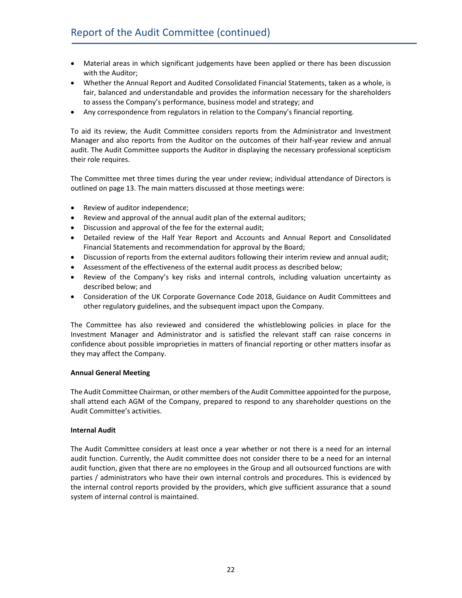- Material areas in which significant judgements have been applied or there has been discussion with the Auditor;
- Whether the Annual Report and Audited Consolidated Financial Statements, taken as a whole, is fair, balanced and understandable and provides the information necessary for the shareholders to assess the Company's performance, business model and strategy; and
- Any correspondence from regulators in relation to the Company's financial reporting.

To aid its review, the Audit Committee considers reports from the Administrator and Investment Manager and also reports from the Auditor on the outcomes of their half‐year review and annual audit. The Audit Committee supports the Auditor in displaying the necessary professional scepticism their role requires.

The Committee met three times during the year under review; individual attendance of Directors is outlined on page 13. The main matters discussed at those meetings were:

- Review of auditor independence;
- Review and approval of the annual audit plan of the external auditors;
- Discussion and approval of the fee for the external audit;
- Detailed review of the Half Year Report and Accounts and Annual Report and Consolidated Financial Statements and recommendation for approval by the Board;
- Discussion of reports from the external auditors following their interim review and annual audit;
- Assessment of the effectiveness of the external audit process as described below;
- Review of the Company's key risks and internal controls, including valuation uncertainty as described below; and
- Consideration of the UK Corporate Governance Code 2018, Guidance on Audit Committees and other regulatory guidelines, and the subsequent impact upon the Company.

The Committee has also reviewed and considered the whistleblowing policies in place for the Investment Manager and Administrator and is satisfied the relevant staff can raise concerns in confidence about possible improprieties in matters of financial reporting or other matters insofar as they may affect the Company.

### **Annual General Meeting**

The Audit Committee Chairman, or other members of the Audit Committee appointed forthe purpose, shall attend each AGM of the Company, prepared to respond to any shareholder questions on the Audit Committee's activities.

### **Internal Audit**

The Audit Committee considers at least once a year whether or not there is a need for an internal audit function. Currently, the Audit committee does not consider there to be a need for an internal audit function, given that there are no employees in the Group and all outsourced functions are with parties / administrators who have their own internal controls and procedures. This is evidenced by the internal control reports provided by the providers, which give sufficient assurance that a sound system of internal control is maintained.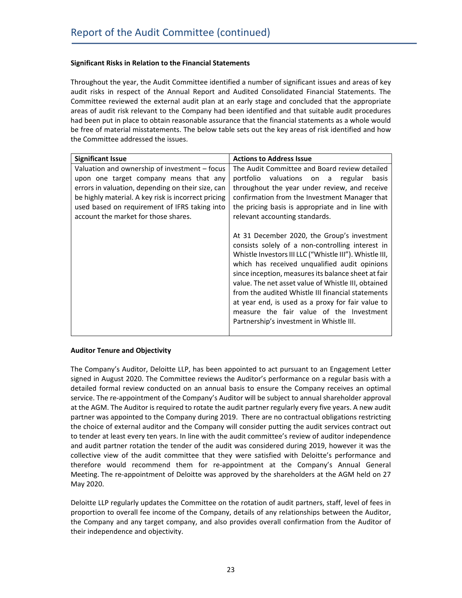# **Significant Risks in Relation to the Financial Statements**

Throughout the year, the Audit Committee identified a number of significant issues and areas of key audit risks in respect of the Annual Report and Audited Consolidated Financial Statements. The Committee reviewed the external audit plan at an early stage and concluded that the appropriate areas of audit risk relevant to the Company had been identified and that suitable audit procedures had been put in place to obtain reasonable assurance that the financial statements as a whole would be free of material misstatements. The below table sets out the key areas of risk identified and how the Committee addressed the issues.

| <b>Significant Issue</b>                                                                                                                                                                                                                                                                     | <b>Actions to Address Issue</b>                                                                                                                                                                                                                                                                                                                                                                                                                                                                                                                                                                                                                                                                                                                                                                                     |
|----------------------------------------------------------------------------------------------------------------------------------------------------------------------------------------------------------------------------------------------------------------------------------------------|---------------------------------------------------------------------------------------------------------------------------------------------------------------------------------------------------------------------------------------------------------------------------------------------------------------------------------------------------------------------------------------------------------------------------------------------------------------------------------------------------------------------------------------------------------------------------------------------------------------------------------------------------------------------------------------------------------------------------------------------------------------------------------------------------------------------|
| Valuation and ownership of investment - focus<br>upon one target company means that any<br>errors in valuation, depending on their size, can<br>be highly material. A key risk is incorrect pricing<br>used based on requirement of IFRS taking into<br>account the market for those shares. | The Audit Committee and Board review detailed<br>portfolio valuations on a regular<br>basis<br>throughout the year under review, and receive<br>confirmation from the Investment Manager that<br>the pricing basis is appropriate and in line with<br>relevant accounting standards.<br>At 31 December 2020, the Group's investment<br>consists solely of a non-controlling interest in<br>Whistle Investors III LLC ("Whistle III"). Whistle III,<br>which has received unqualified audit opinions<br>since inception, measures its balance sheet at fair<br>value. The net asset value of Whistle III, obtained<br>from the audited Whistle III financial statements<br>at year end, is used as a proxy for fair value to<br>measure the fair value of the Investment<br>Partnership's investment in Whistle III. |
|                                                                                                                                                                                                                                                                                              |                                                                                                                                                                                                                                                                                                                                                                                                                                                                                                                                                                                                                                                                                                                                                                                                                     |

# **Auditor Tenure and Objectivity**

The Company's Auditor, Deloitte LLP, has been appointed to act pursuant to an Engagement Letter signed in August 2020. The Committee reviews the Auditor's performance on a regular basis with a detailed formal review conducted on an annual basis to ensure the Company receives an optimal service. The re-appointment of the Company's Auditor will be subject to annual shareholder approval at the AGM. The Auditor is required to rotate the audit partner regularly every five years. A new audit partner was appointed to the Company during 2019. There are no contractual obligations restricting the choice of external auditor and the Company will consider putting the audit services contract out to tender at least every ten years. In line with the audit committee's review of auditor independence and audit partner rotation the tender of the audit was considered during 2019, however it was the collective view of the audit committee that they were satisfied with Deloitte's performance and therefore would recommend them for re‐appointment at the Company's Annual General Meeting. The re‐appointment of Deloitte was approved by the shareholders at the AGM held on 27 May 2020.

Deloitte LLP regularly updates the Committee on the rotation of audit partners, staff, level of fees in proportion to overall fee income of the Company, details of any relationships between the Auditor, the Company and any target company, and also provides overall confirmation from the Auditor of their independence and objectivity.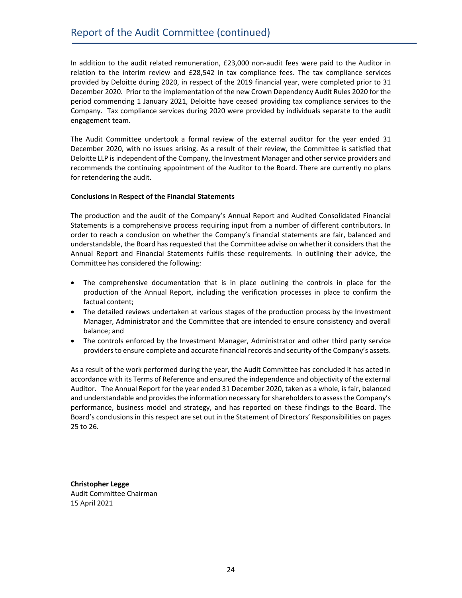In addition to the audit related remuneration, £23,000 non‐audit fees were paid to the Auditor in relation to the interim review and £28,542 in tax compliance fees. The tax compliance services provided by Deloitte during 2020, in respect of the 2019 financial year, were completed prior to 31 December 2020. Prior to the implementation of the new Crown Dependency Audit Rules 2020 for the period commencing 1 January 2021, Deloitte have ceased providing tax compliance services to the Company. Tax compliance services during 2020 were provided by individuals separate to the audit engagement team.

The Audit Committee undertook a formal review of the external auditor for the year ended 31 December 2020, with no issues arising. As a result of their review, the Committee is satisfied that Deloitte LLP is independent of the Company, the Investment Manager and other service providers and recommends the continuing appointment of the Auditor to the Board. There are currently no plans for retendering the audit.

# **Conclusions in Respect of the Financial Statements**

The production and the audit of the Company's Annual Report and Audited Consolidated Financial Statements is a comprehensive process requiring input from a number of different contributors. In order to reach a conclusion on whether the Company's financial statements are fair, balanced and understandable, the Board has requested that the Committee advise on whether it considers that the Annual Report and Financial Statements fulfils these requirements. In outlining their advice, the Committee has considered the following:

- The comprehensive documentation that is in place outlining the controls in place for the production of the Annual Report, including the verification processes in place to confirm the factual content;
- The detailed reviews undertaken at various stages of the production process by the Investment Manager, Administrator and the Committee that are intended to ensure consistency and overall balance; and
- The controls enforced by the Investment Manager, Administrator and other third party service providers to ensure complete and accurate financial records and security of the Company's assets.

As a result of the work performed during the year, the Audit Committee has concluded it has acted in accordance with its Terms of Reference and ensured the independence and objectivity of the external Auditor. The Annual Report for the year ended 31 December 2020, taken as a whole, is fair, balanced and understandable and provides the information necessary for shareholders to assess the Company's performance, business model and strategy, and has reported on these findings to the Board. The Board's conclusions in this respect are set out in the Statement of Directors' Responsibilities on pages 25 to 26.

**Christopher Legge** Audit Committee Chairman 15 April 2021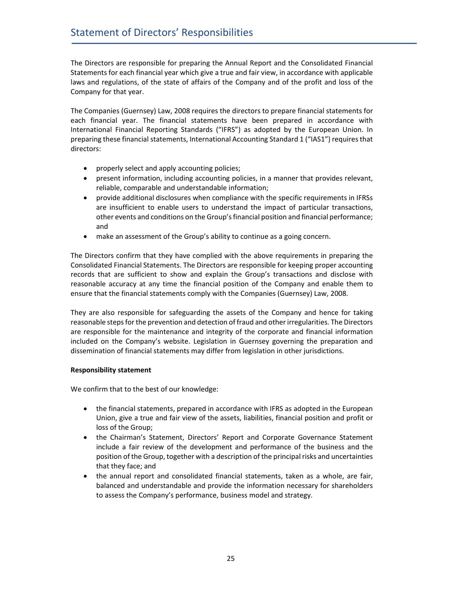The Directors are responsible for preparing the Annual Report and the Consolidated Financial Statements for each financial year which give a true and fair view, in accordance with applicable laws and regulations, of the state of affairs of the Company and of the profit and loss of the Company for that year.

The Companies (Guernsey) Law, 2008 requires the directors to prepare financial statements for each financial year. The financial statements have been prepared in accordance with International Financial Reporting Standards ("IFRS") as adopted by the European Union. In preparing these financial statements, International Accounting Standard 1 ("IAS1") requiresthat directors:

- properly select and apply accounting policies;
- present information, including accounting policies, in a manner that provides relevant, reliable, comparable and understandable information;
- provide additional disclosures when compliance with the specific requirements in IFRSs are insufficient to enable users to understand the impact of particular transactions, other events and conditions on the Group'sfinancial position and financial performance; and
- make an assessment of the Group's ability to continue as a going concern.

The Directors confirm that they have complied with the above requirements in preparing the Consolidated Financial Statements. The Directors are responsible for keeping proper accounting records that are sufficient to show and explain the Group's transactions and disclose with reasonable accuracy at any time the financial position of the Company and enable them to ensure that the financial statements comply with the Companies (Guernsey) Law, 2008.

They are also responsible for safeguarding the assets of the Company and hence for taking reasonable steps for the prevention and detection of fraud and other irregularities. The Directors are responsible for the maintenance and integrity of the corporate and financial information included on the Company's website. Legislation in Guernsey governing the preparation and dissemination of financial statements may differ from legislation in other jurisdictions.

### **Responsibility statement**

We confirm that to the best of our knowledge:

- the financial statements, prepared in accordance with IFRS as adopted in the European Union, give a true and fair view of the assets, liabilities, financial position and profit or loss of the Group;
- the Chairman's Statement, Directors' Report and Corporate Governance Statement include a fair review of the development and performance of the business and the position of the Group, together with a description of the principal risks and uncertainties that they face; and
- the annual report and consolidated financial statements, taken as a whole, are fair, balanced and understandable and provide the information necessary for shareholders to assess the Company's performance, business model and strategy.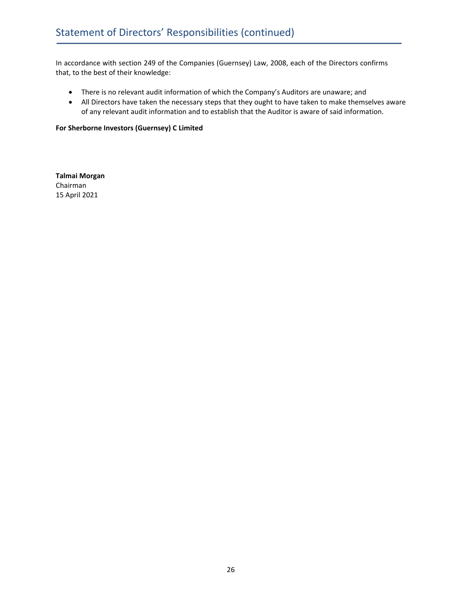In accordance with section 249 of the Companies (Guernsey) Law, 2008, each of the Directors confirms that, to the best of their knowledge:

- There is no relevant audit information of which the Company's Auditors are unaware; and
- All Directors have taken the necessary steps that they ought to have taken to make themselves aware of any relevant audit information and to establish that the Auditor is aware of said information.

### **For Sherborne Investors (Guernsey) C Limited**

**Talmai Morgan** Chairman 15 April 2021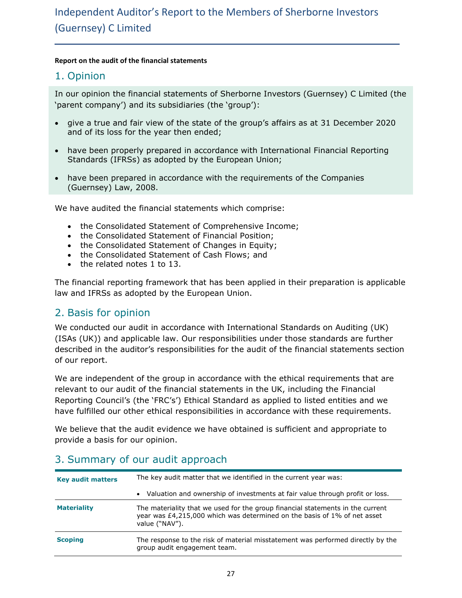# **Report on the audit of the financial statements**

# 1. Opinion

In our opinion the financial statements of Sherborne Investors (Guernsey) C Limited (the 'parent company') and its subsidiaries (the 'group'):

- give a true and fair view of the state of the group's affairs as at 31 December 2020 and of its loss for the year then ended;
- have been properly prepared in accordance with International Financial Reporting Standards (IFRSs) as adopted by the European Union;
- have been prepared in accordance with the requirements of the Companies (Guernsey) Law, 2008.

We have audited the financial statements which comprise:

- the Consolidated Statement of Comprehensive Income;
- the Consolidated Statement of Financial Position;
- the Consolidated Statement of Changes in Equity;
- the Consolidated Statement of Cash Flows; and
- the related notes 1 to 13.

The financial reporting framework that has been applied in their preparation is applicable law and IFRSs as adopted by the European Union.

# 2. Basis for opinion

We conducted our audit in accordance with International Standards on Auditing (UK) (ISAs (UK)) and applicable law. Our responsibilities under those standards are further described in the auditor's responsibilities for the audit of the financial statements section of our report.

We are independent of the group in accordance with the ethical requirements that are relevant to our audit of the financial statements in the UK, including the Financial Reporting Council's (the 'FRC's') Ethical Standard as applied to listed entities and we have fulfilled our other ethical responsibilities in accordance with these requirements.

We believe that the audit evidence we have obtained is sufficient and appropriate to provide a basis for our opinion.

| <b>Key audit matters</b> | The key audit matter that we identified in the current year was:                                                                                                             |  |  |  |
|--------------------------|------------------------------------------------------------------------------------------------------------------------------------------------------------------------------|--|--|--|
|                          | • Valuation and ownership of investments at fair value through profit or loss.                                                                                               |  |  |  |
| <b>Materiality</b>       | The materiality that we used for the group financial statements in the current<br>year was £4,215,000 which was determined on the basis of 1% of net asset<br>value ("NAV"). |  |  |  |
| <b>Scoping</b>           | The response to the risk of material misstatement was performed directly by the<br>group audit engagement team.                                                              |  |  |  |

# 3. Summary of our audit approach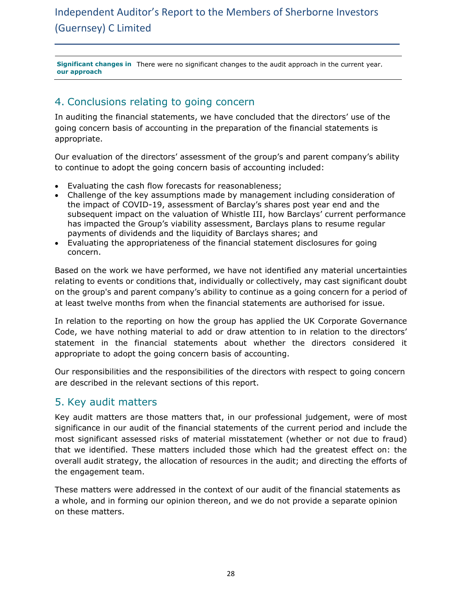**Significant changes in**  There were no significant changes to the audit approach in the current year. **our approach** 

# 4. Conclusions relating to going concern

In auditing the financial statements, we have concluded that the directors' use of the going concern basis of accounting in the preparation of the financial statements is appropriate.

Our evaluation of the directors' assessment of the group's and parent company's ability to continue to adopt the going concern basis of accounting included:

- Evaluating the cash flow forecasts for reasonableness;
- Challenge of the key assumptions made by management including consideration of the impact of COVID-19, assessment of Barclay's shares post year end and the subsequent impact on the valuation of Whistle III, how Barclays' current performance has impacted the Group's viability assessment, Barclays plans to resume regular payments of dividends and the liquidity of Barclays shares; and
- Evaluating the appropriateness of the financial statement disclosures for going concern.

Based on the work we have performed, we have not identified any material uncertainties relating to events or conditions that, individually or collectively, may cast significant doubt on the group's and parent company's ability to continue as a going concern for a period of at least twelve months from when the financial statements are authorised for issue.

In relation to the reporting on how the group has applied the UK Corporate Governance Code, we have nothing material to add or draw attention to in relation to the directors' statement in the financial statements about whether the directors considered it appropriate to adopt the going concern basis of accounting.

Our responsibilities and the responsibilities of the directors with respect to going concern are described in the relevant sections of this report.

# 5. Key audit matters

Key audit matters are those matters that, in our professional judgement, were of most significance in our audit of the financial statements of the current period and include the most significant assessed risks of material misstatement (whether or not due to fraud) that we identified. These matters included those which had the greatest effect on: the overall audit strategy, the allocation of resources in the audit; and directing the efforts of the engagement team.

These matters were addressed in the context of our audit of the financial statements as a whole, and in forming our opinion thereon, and we do not provide a separate opinion on these matters.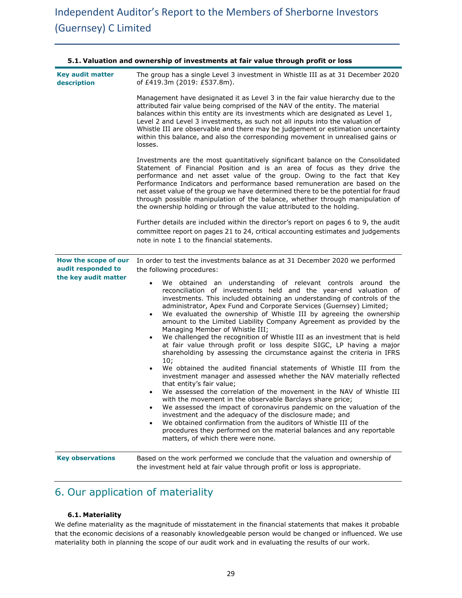|                                            | 5.1. Valuation and ownership of investments at fair value through profit or loss                                                                                                                                                                                                                                                                                                                                                                                                                                                                                                                                                                                                                                                                     |  |  |  |  |
|--------------------------------------------|------------------------------------------------------------------------------------------------------------------------------------------------------------------------------------------------------------------------------------------------------------------------------------------------------------------------------------------------------------------------------------------------------------------------------------------------------------------------------------------------------------------------------------------------------------------------------------------------------------------------------------------------------------------------------------------------------------------------------------------------------|--|--|--|--|
| <b>Key audit matter</b><br>description     | The group has a single Level 3 investment in Whistle III as at 31 December 2020<br>of £419.3m (2019: £537.8m).                                                                                                                                                                                                                                                                                                                                                                                                                                                                                                                                                                                                                                       |  |  |  |  |
|                                            | Management have designated it as Level 3 in the fair value hierarchy due to the<br>attributed fair value being comprised of the NAV of the entity. The material<br>balances within this entity are its investments which are designated as Level 1,<br>Level 2 and Level 3 investments, as such not all inputs into the valuation of<br>Whistle III are observable and there may be judgement or estimation uncertainty<br>within this balance, and also the corresponding movement in unrealised gains or<br>losses.                                                                                                                                                                                                                                |  |  |  |  |
|                                            | Investments are the most quantitatively significant balance on the Consolidated<br>Statement of Financial Position and is an area of focus as they drive the<br>performance and net asset value of the group. Owing to the fact that Key<br>Performance Indicators and performance based remuneration are based on the<br>net asset value of the group we have determined there to be the potential for fraud<br>through possible manipulation of the balance, whether through manipulation of<br>the ownership holding or through the value attributed to the holding.                                                                                                                                                                              |  |  |  |  |
|                                            | Further details are included within the director's report on pages 6 to 9, the audit<br>committee report on pages 21 to 24, critical accounting estimates and judgements<br>note in note 1 to the financial statements.                                                                                                                                                                                                                                                                                                                                                                                                                                                                                                                              |  |  |  |  |
| How the scope of our<br>audit responded to | In order to test the investments balance as at 31 December 2020 we performed<br>the following procedures:                                                                                                                                                                                                                                                                                                                                                                                                                                                                                                                                                                                                                                            |  |  |  |  |
| the key audit matter                       | We obtained an understanding of relevant controls around the<br>$\bullet$<br>reconciliation of investments held and the year-end valuation of<br>investments. This included obtaining an understanding of controls of the<br>administrator, Apex Fund and Corporate Services (Guernsey) Limited;<br>We evaluated the ownership of Whistle III by agreeing the ownership<br>$\bullet$<br>amount to the Limited Liability Company Agreement as provided by the<br>Managing Member of Whistle III;<br>We challenged the recognition of Whistle III as an investment that is held<br>$\bullet$<br>at fair value through profit or loss despite SIGC, LP having a major<br>shareholding by assessing the circumstance against the criteria in IFRS<br>10; |  |  |  |  |
|                                            | We obtained the audited financial statements of Whistle III from the<br>$\bullet$<br>investment manager and assessed whether the NAV materially reflected<br>that entity's fair value;                                                                                                                                                                                                                                                                                                                                                                                                                                                                                                                                                               |  |  |  |  |
|                                            | We assessed the correlation of the movement in the NAV of Whistle III<br>with the movement in the observable Barclays share price;<br>We assessed the impact of coronavirus pandemic on the valuation of the<br>investment and the adequacy of the disclosure made; and<br>We obtained confirmation from the auditors of Whistle III of the<br>$\bullet$<br>procedures they performed on the material balances and any reportable<br>matters, of which there were none.                                                                                                                                                                                                                                                                              |  |  |  |  |
| <b>Key observations</b>                    | Based on the work performed we conclude that the valuation and ownership of<br>the investment held at fair value through profit or loss is appropriate.                                                                                                                                                                                                                                                                                                                                                                                                                                                                                                                                                                                              |  |  |  |  |

# 6. Our application of materiality

# **6.1. Materiality**

We define materiality as the magnitude of misstatement in the financial statements that makes it probable that the economic decisions of a reasonably knowledgeable person would be changed or influenced. We use materiality both in planning the scope of our audit work and in evaluating the results of our work.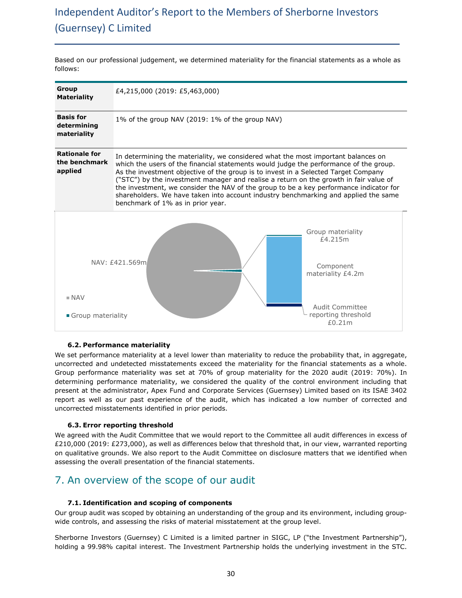# Independent Auditor's Report to the Members of Sherborne Investors (Guernsey) C Limited

Based on our professional judgement, we determined materiality for the financial statements as a whole as follows:

| Group<br><b>Materiality</b>                      | £4,215,000 (2019: £5,463,000)                                                                                                                                                                                                                                                                                                                                                                                                                                                                                                                                                   |  |  |  |  |
|--------------------------------------------------|---------------------------------------------------------------------------------------------------------------------------------------------------------------------------------------------------------------------------------------------------------------------------------------------------------------------------------------------------------------------------------------------------------------------------------------------------------------------------------------------------------------------------------------------------------------------------------|--|--|--|--|
| <b>Basis for</b><br>determining<br>materiality   | 1% of the group NAV (2019: 1% of the group NAV)                                                                                                                                                                                                                                                                                                                                                                                                                                                                                                                                 |  |  |  |  |
| <b>Rationale for</b><br>the benchmark<br>applied | In determining the materiality, we considered what the most important balances on<br>which the users of the financial statements would judge the performance of the group.<br>As the investment objective of the group is to invest in a Selected Target Company<br>("STC") by the investment manager and realise a return on the growth in fair value of<br>the investment, we consider the NAV of the group to be a key performance indicator for<br>shareholders. We have taken into account industry benchmarking and applied the same<br>benchmark of 1% as in prior year. |  |  |  |  |
| NAV<br>Group materiality                         | Group materiality<br>£4.215m<br>NAV: £421.569m<br>Component<br>materiality £4.2m<br>Audit Committee<br>reporting threshold<br>£0.21m                                                                                                                                                                                                                                                                                                                                                                                                                                            |  |  |  |  |

#### **6.2. Performance materiality**

We set performance materiality at a level lower than materiality to reduce the probability that, in aggregate, uncorrected and undetected misstatements exceed the materiality for the financial statements as a whole. Group performance materiality was set at 70% of group materiality for the 2020 audit (2019: 70%). In determining performance materiality, we considered the quality of the control environment including that present at the administrator, Apex Fund and Corporate Services (Guernsey) Limited based on its ISAE 3402 report as well as our past experience of the audit, which has indicated a low number of corrected and uncorrected misstatements identified in prior periods.

#### **6.3. Error reporting threshold**

We agreed with the Audit Committee that we would report to the Committee all audit differences in excess of £210,000 (2019: £273,000), as well as differences below that threshold that, in our view, warranted reporting on qualitative grounds. We also report to the Audit Committee on disclosure matters that we identified when assessing the overall presentation of the financial statements.

# 7. An overview of the scope of our audit

### **7.1. Identification and scoping of components**

Our group audit was scoped by obtaining an understanding of the group and its environment, including groupwide controls, and assessing the risks of material misstatement at the group level.

Sherborne Investors (Guernsey) C Limited is a limited partner in SIGC, LP ("the Investment Partnership"), holding a 99.98% capital interest. The Investment Partnership holds the underlying investment in the STC.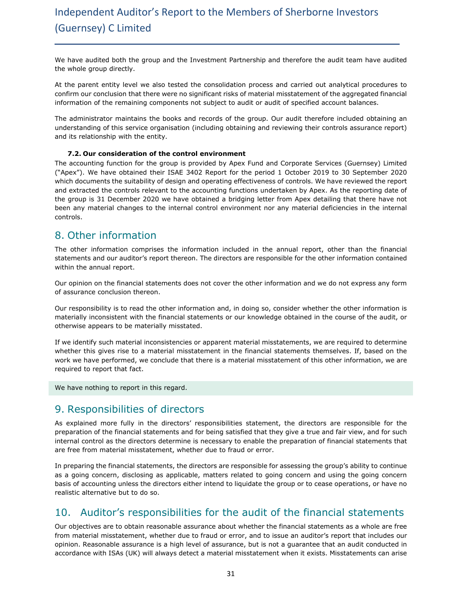We have audited both the group and the Investment Partnership and therefore the audit team have audited the whole group directly.

At the parent entity level we also tested the consolidation process and carried out analytical procedures to confirm our conclusion that there were no significant risks of material misstatement of the aggregated financial information of the remaining components not subject to audit or audit of specified account balances.

The administrator maintains the books and records of the group. Our audit therefore included obtaining an understanding of this service organisation (including obtaining and reviewing their controls assurance report) and its relationship with the entity.

### **7.2. Our consideration of the control environment**

The accounting function for the group is provided by Apex Fund and Corporate Services (Guernsey) Limited ("Apex"). We have obtained their ISAE 3402 Report for the period 1 October 2019 to 30 September 2020 which documents the suitability of design and operating effectiveness of controls. We have reviewed the report and extracted the controls relevant to the accounting functions undertaken by Apex. As the reporting date of the group is 31 December 2020 we have obtained a bridging letter from Apex detailing that there have not been any material changes to the internal control environment nor any material deficiencies in the internal controls.

# 8. Other information

The other information comprises the information included in the annual report, other than the financial statements and our auditor's report thereon. The directors are responsible for the other information contained within the annual report.

Our opinion on the financial statements does not cover the other information and we do not express any form of assurance conclusion thereon.

Our responsibility is to read the other information and, in doing so, consider whether the other information is materially inconsistent with the financial statements or our knowledge obtained in the course of the audit, or otherwise appears to be materially misstated.

If we identify such material inconsistencies or apparent material misstatements, we are required to determine whether this gives rise to a material misstatement in the financial statements themselves. If, based on the work we have performed, we conclude that there is a material misstatement of this other information, we are required to report that fact.

We have nothing to report in this regard.

# 9. Responsibilities of directors

As explained more fully in the directors' responsibilities statement, the directors are responsible for the preparation of the financial statements and for being satisfied that they give a true and fair view, and for such internal control as the directors determine is necessary to enable the preparation of financial statements that are free from material misstatement, whether due to fraud or error.

In preparing the financial statements, the directors are responsible for assessing the group's ability to continue as a going concern, disclosing as applicable, matters related to going concern and using the going concern basis of accounting unless the directors either intend to liquidate the group or to cease operations, or have no realistic alternative but to do so.

# 10. Auditor's responsibilities for the audit of the financial statements

Our objectives are to obtain reasonable assurance about whether the financial statements as a whole are free from material misstatement, whether due to fraud or error, and to issue an auditor's report that includes our opinion. Reasonable assurance is a high level of assurance, but is not a guarantee that an audit conducted in accordance with ISAs (UK) will always detect a material misstatement when it exists. Misstatements can arise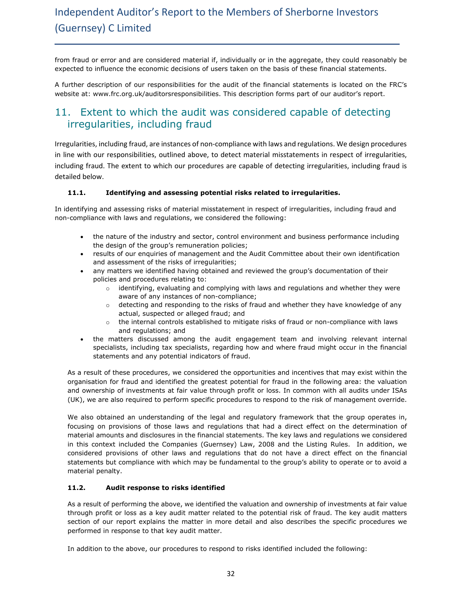from fraud or error and are considered material if, individually or in the aggregate, they could reasonably be expected to influence the economic decisions of users taken on the basis of these financial statements.

A further description of our responsibilities for the audit of the financial statements is located on the FRC's website at: www.frc.org.uk/auditorsresponsibilities. This description forms part of our auditor's report.

# 11. Extent to which the audit was considered capable of detecting irregularities, including fraud

Irregularities, including fraud, are instances of non‐compliance with laws and regulations. We design procedures in line with our responsibilities, outlined above, to detect material misstatements in respect of irregularities, including fraud. The extent to which our procedures are capable of detecting irregularities, including fraud is detailed below.

# **11.1. Identifying and assessing potential risks related to irregularities.**

In identifying and assessing risks of material misstatement in respect of irregularities, including fraud and non-compliance with laws and regulations, we considered the following:

- the nature of the industry and sector, control environment and business performance including the design of the group's remuneration policies;
- results of our enquiries of management and the Audit Committee about their own identification and assessment of the risks of irregularities;
- any matters we identified having obtained and reviewed the group's documentation of their policies and procedures relating to:
	- $\circ$  identifying, evaluating and complying with laws and regulations and whether they were aware of any instances of non-compliance;
	- $\circ$  detecting and responding to the risks of fraud and whether they have knowledge of any actual, suspected or alleged fraud; and
	- o the internal controls established to mitigate risks of fraud or non-compliance with laws and regulations; and
- the matters discussed among the audit engagement team and involving relevant internal specialists, including tax specialists, regarding how and where fraud might occur in the financial statements and any potential indicators of fraud.

As a result of these procedures, we considered the opportunities and incentives that may exist within the organisation for fraud and identified the greatest potential for fraud in the following area: the valuation and ownership of investments at fair value through profit or loss. In common with all audits under ISAs (UK), we are also required to perform specific procedures to respond to the risk of management override.

We also obtained an understanding of the legal and regulatory framework that the group operates in, focusing on provisions of those laws and regulations that had a direct effect on the determination of material amounts and disclosures in the financial statements. The key laws and regulations we considered in this context included the Companies (Guernsey) Law, 2008 and the Listing Rules. In addition, we considered provisions of other laws and regulations that do not have a direct effect on the financial statements but compliance with which may be fundamental to the group's ability to operate or to avoid a material penalty.

### **11.2. Audit response to risks identified**

As a result of performing the above, we identified the valuation and ownership of investments at fair value through profit or loss as a key audit matter related to the potential risk of fraud. The key audit matters section of our report explains the matter in more detail and also describes the specific procedures we performed in response to that key audit matter.

In addition to the above, our procedures to respond to risks identified included the following: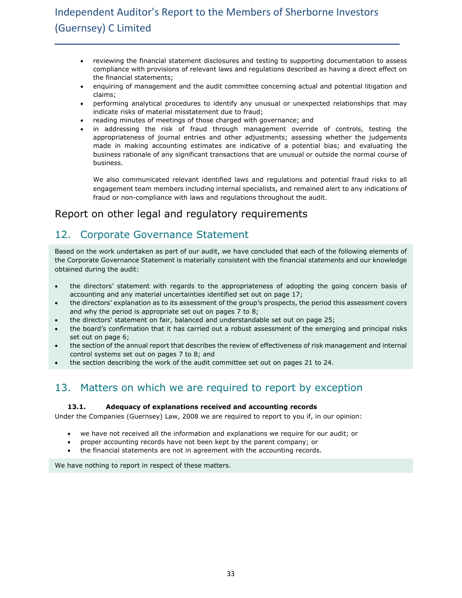# Independent Auditor's Report to the Members of Sherborne Investors (Guernsey) C Limited

- reviewing the financial statement disclosures and testing to supporting documentation to assess compliance with provisions of relevant laws and regulations described as having a direct effect on the financial statements;
- enquiring of management and the audit committee concerning actual and potential litigation and claims;
- performing analytical procedures to identify any unusual or unexpected relationships that may indicate risks of material misstatement due to fraud;
- reading minutes of meetings of those charged with governance; and
- in addressing the risk of fraud through management override of controls, testing the appropriateness of journal entries and other adjustments; assessing whether the judgements made in making accounting estimates are indicative of a potential bias; and evaluating the business rationale of any significant transactions that are unusual or outside the normal course of business.

We also communicated relevant identified laws and regulations and potential fraud risks to all engagement team members including internal specialists, and remained alert to any indications of fraud or non-compliance with laws and regulations throughout the audit.

# Report on other legal and regulatory requirements

# 12. Corporate Governance Statement

Based on the work undertaken as part of our audit, we have concluded that each of the following elements of the Corporate Governance Statement is materially consistent with the financial statements and our knowledge obtained during the audit:

- the directors' statement with regards to the appropriateness of adopting the going concern basis of accounting and any material uncertainties identified set out on page 17;
- the directors' explanation as to its assessment of the group's prospects, the period this assessment covers and why the period is appropriate set out on pages 7 to 8;
- the directors' statement on fair, balanced and understandable set out on page 25;
- the board's confirmation that it has carried out a robust assessment of the emerging and principal risks set out on page 6;
- the section of the annual report that describes the review of effectiveness of risk management and internal control systems set out on pages 7 to 8; and
- the section describing the work of the audit committee set out on pages 21 to 24.

# 13. Matters on which we are required to report by exception

### **13.1. Adequacy of explanations received and accounting records**

Under the Companies (Guernsey) Law, 2008 we are required to report to you if, in our opinion:

- we have not received all the information and explanations we require for our audit; or
- proper accounting records have not been kept by the parent company; or
- the financial statements are not in agreement with the accounting records.

We have nothing to report in respect of these matters.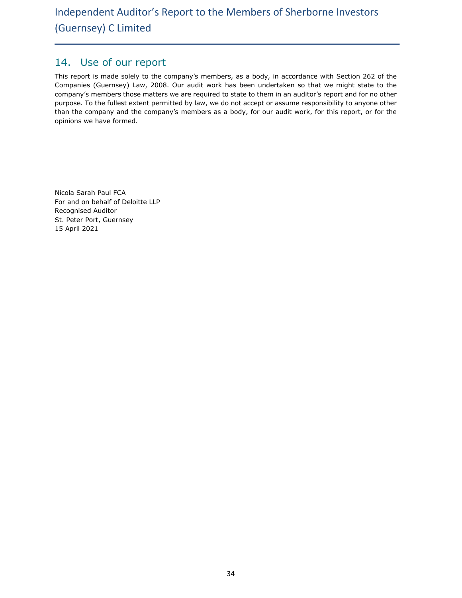# 14. Use of our report

This report is made solely to the company's members, as a body, in accordance with Section 262 of the Companies (Guernsey) Law, 2008. Our audit work has been undertaken so that we might state to the company's members those matters we are required to state to them in an auditor's report and for no other purpose. To the fullest extent permitted by law, we do not accept or assume responsibility to anyone other than the company and the company's members as a body, for our audit work, for this report, or for the opinions we have formed.

Nicola Sarah Paul FCA For and on behalf of Deloitte LLP Recognised Auditor St. Peter Port, Guernsey 15 April 2021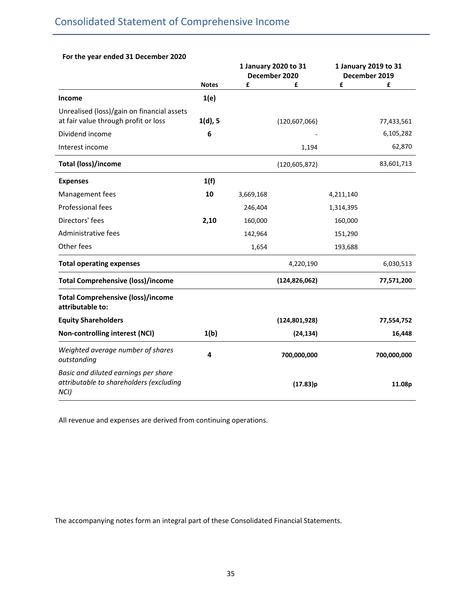|                                                                                         |              | 1 January 2020 to 31<br>December 2020 |                 | 1 January 2019 to 31<br>December 2019 |             |
|-----------------------------------------------------------------------------------------|--------------|---------------------------------------|-----------------|---------------------------------------|-------------|
|                                                                                         | <b>Notes</b> | £                                     |                 | £                                     | £           |
| <b>Income</b>                                                                           | 1(e)         |                                       |                 |                                       |             |
| Unrealised (loss)/gain on financial assets                                              |              |                                       |                 |                                       |             |
| at fair value through profit or loss                                                    | 1(d), 5      |                                       | (120,607,066)   |                                       | 77,433,561  |
| Dividend income                                                                         | 6            |                                       |                 |                                       | 6,105,282   |
| Interest income                                                                         |              |                                       | 1,194           |                                       | 62,870      |
| <b>Total (loss)/income</b>                                                              |              |                                       | (120, 605, 872) |                                       | 83,601,713  |
| <b>Expenses</b>                                                                         | 1(f)         |                                       |                 |                                       |             |
| Management fees                                                                         | 10           | 3,669,168                             |                 | 4,211,140                             |             |
| Professional fees                                                                       |              | 246,404                               |                 | 1,314,395                             |             |
| Directors' fees                                                                         | 2,10         | 160,000                               |                 | 160,000                               |             |
| Administrative fees                                                                     |              | 142,964                               |                 | 151,290                               |             |
| Other fees                                                                              |              | 1,654                                 |                 | 193,688                               |             |
| <b>Total operating expenses</b>                                                         |              |                                       | 4,220,190       |                                       | 6,030,513   |
| <b>Total Comprehensive (loss)/income</b>                                                |              |                                       | (124, 826, 062) |                                       | 77,571,200  |
| <b>Total Comprehensive (loss)/income</b><br>attributable to:                            |              |                                       |                 |                                       |             |
| <b>Equity Shareholders</b>                                                              |              |                                       | (124, 801, 928) |                                       | 77,554,752  |
| Non-controlling interest (NCI)                                                          | 1(b)         |                                       | (24, 134)       |                                       | 16,448      |
| Weighted average number of shares<br>outstanding                                        | 4            |                                       | 700,000,000     |                                       | 700,000,000 |
| Basic and diluted earnings per share<br>attributable to shareholders (excluding<br>NCI) |              |                                       | (17.83)p        |                                       | 11.08p      |

All revenue and expenses are derived from continuing operations.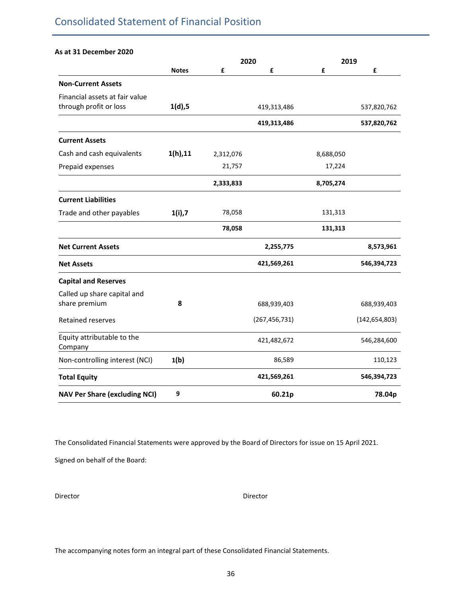# Consolidated Statement of Financial Position

# **As at 31 December 2020**

|                                       |              | 2020      |                 | 2019      |                 |
|---------------------------------------|--------------|-----------|-----------------|-----------|-----------------|
|                                       | <b>Notes</b> | £         | £               | £         | £               |
| <b>Non-Current Assets</b>             |              |           |                 |           |                 |
| Financial assets at fair value        |              |           |                 |           |                 |
| through profit or loss                | 1(d), 5      |           | 419,313,486     |           | 537,820,762     |
|                                       |              |           | 419,313,486     |           | 537,820,762     |
| <b>Current Assets</b>                 |              |           |                 |           |                 |
| Cash and cash equivalents             | 1(h), 11     | 2,312,076 |                 | 8,688,050 |                 |
| Prepaid expenses                      |              | 21,757    |                 | 17,224    |                 |
|                                       |              | 2,333,833 |                 | 8,705,274 |                 |
| <b>Current Liabilities</b>            |              |           |                 |           |                 |
| Trade and other payables              | 1(i), 7      | 78,058    |                 | 131,313   |                 |
|                                       |              | 78,058    |                 | 131,313   |                 |
| <b>Net Current Assets</b>             |              |           | 2,255,775       |           | 8,573,961       |
| <b>Net Assets</b>                     |              |           | 421,569,261     |           | 546,394,723     |
| <b>Capital and Reserves</b>           |              |           |                 |           |                 |
| Called up share capital and           |              |           |                 |           |                 |
| share premium                         | 8            |           | 688,939,403     |           | 688,939,403     |
| <b>Retained reserves</b>              |              |           | (267, 456, 731) |           | (142, 654, 803) |
| Equity attributable to the<br>Company |              |           | 421,482,672     |           | 546,284,600     |
| Non-controlling interest (NCI)        | 1(b)         |           | 86,589          |           | 110,123         |
| <b>Total Equity</b>                   |              |           | 421,569,261     |           | 546,394,723     |
| <b>NAV Per Share (excluding NCI)</b>  | 9            |           | 60.21p          |           | 78.04p          |

The Consolidated Financial Statements were approved by the Board of Directors for issue on 15 April 2021.

Signed on behalf of the Board:

Director **Director** *Director Director Director Director Director*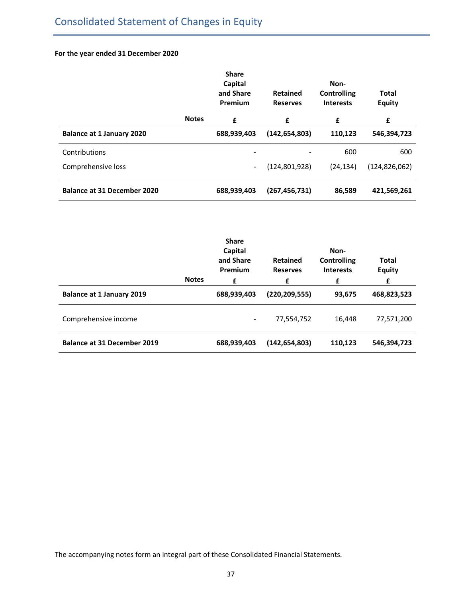|                                    |              | <b>Share</b><br>Capital<br>and Share<br>Premium | <b>Retained</b><br><b>Reserves</b> | Non-<br><b>Controlling</b><br><b>Interests</b> | <b>Total</b><br><b>Equity</b> |
|------------------------------------|--------------|-------------------------------------------------|------------------------------------|------------------------------------------------|-------------------------------|
|                                    | <b>Notes</b> | £                                               | £                                  | £                                              | £                             |
| Balance at 1 January 2020          |              | 688,939,403                                     | (142, 654, 803)                    | 110,123                                        | 546,394,723                   |
| Contributions                      |              |                                                 |                                    | 600                                            | 600                           |
| Comprehensive loss                 |              |                                                 | (124, 801, 928)                    | (24, 134)                                      | (124, 826, 062)               |
| <b>Balance at 31 December 2020</b> |              | 688,939,403                                     | (267, 456, 731)                    | 86,589                                         | 421,569,261                   |

|                                    | <b>Notes</b> | <b>Share</b><br>Capital<br>and Share<br>Premium<br>£ | <b>Retained</b><br><b>Reserves</b><br>£ | Non-<br>Controlling<br><b>Interests</b><br>£ | <b>Total</b><br><b>Equity</b><br>£ |
|------------------------------------|--------------|------------------------------------------------------|-----------------------------------------|----------------------------------------------|------------------------------------|
| <b>Balance at 1 January 2019</b>   |              | 688,939,403                                          | (220, 209, 555)                         | 93,675                                       | 468,823,523                        |
| Comprehensive income               |              |                                                      | 77,554,752                              | 16,448                                       | 77,571,200                         |
| <b>Balance at 31 December 2019</b> |              | 688,939,403                                          | (142, 654, 803)                         | 110,123                                      | 546,394,723                        |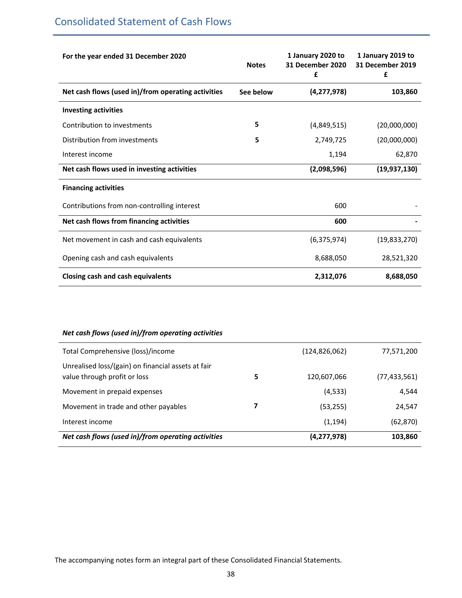# Consolidated Statement of Cash Flows

| For the year ended 31 December 2020                | <b>Notes</b> | 1 January 2020 to<br><b>31 December 2020</b><br>£ | 1 January 2019 to<br><b>31 December 2019</b><br>£ |
|----------------------------------------------------|--------------|---------------------------------------------------|---------------------------------------------------|
| Net cash flows (used in)/from operating activities | See below    | (4, 277, 978)                                     | 103,860                                           |
| <b>Investing activities</b>                        |              |                                                   |                                                   |
| Contribution to investments                        | 5            | (4,849,515)                                       | (20,000,000)                                      |
| Distribution from investments                      | 5            | 2,749,725                                         | (20,000,000)                                      |
| Interest income                                    |              | 1,194                                             | 62,870                                            |
| Net cash flows used in investing activities        |              | (2,098,596)                                       | (19, 937, 130)                                    |
| <b>Financing activities</b>                        |              |                                                   |                                                   |
| Contributions from non-controlling interest        |              | 600                                               |                                                   |
| Net cash flows from financing activities           |              | 600                                               |                                                   |
| Net movement in cash and cash equivalents          |              | (6, 375, 974)                                     | (19, 833, 270)                                    |
| Opening cash and cash equivalents                  |              | 8,688,050                                         | 28,521,320                                        |
| <b>Closing cash and cash equivalents</b>           |              | 2,312,076                                         | 8,688,050                                         |

# *Net cash flows (used in)/from operating activities*

| Total Comprehensive (loss)/income                                                  |   | (124, 826, 062) | 77,571,200     |
|------------------------------------------------------------------------------------|---|-----------------|----------------|
| Unrealised loss/(gain) on financial assets at fair<br>value through profit or loss | 5 | 120,607,066     | (77, 433, 561) |
| Movement in prepaid expenses                                                       |   | (4,533)         | 4,544          |
| Movement in trade and other payables                                               | 7 | (53,255)        | 24,547         |
| Interest income                                                                    |   | (1, 194)        | (62,870)       |
| Net cash flows (used in)/from operating activities                                 |   | (4,277,978)     | 103,860        |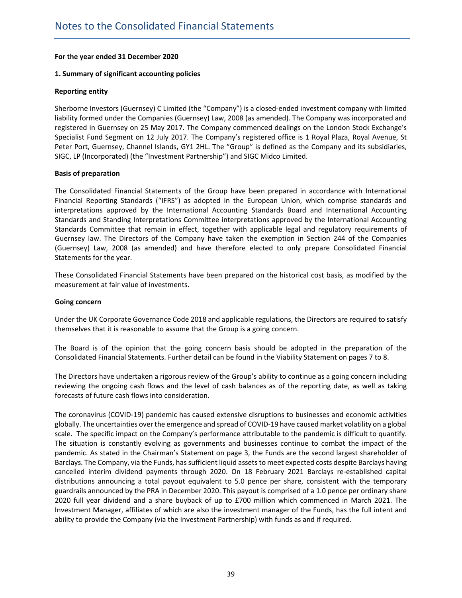# **1. Summary of significant accounting policies**

# **Reporting entity**

Sherborne Investors (Guernsey) C Limited (the "Company") is a closed‐ended investment company with limited liability formed under the Companies (Guernsey) Law, 2008 (as amended). The Company was incorporated and registered in Guernsey on 25 May 2017. The Company commenced dealings on the London Stock Exchange's Specialist Fund Segment on 12 July 2017. The Company's registered office is 1 Royal Plaza, Royal Avenue, St Peter Port, Guernsey, Channel Islands, GY1 2HL. The "Group" is defined as the Company and its subsidiaries, SIGC, LP (Incorporated) (the "Investment Partnership") and SIGC Midco Limited.

# **Basis of preparation**

The Consolidated Financial Statements of the Group have been prepared in accordance with International Financial Reporting Standards ("IFRS") as adopted in the European Union, which comprise standards and interpretations approved by the International Accounting Standards Board and International Accounting Standards and Standing Interpretations Committee interpretations approved by the International Accounting Standards Committee that remain in effect, together with applicable legal and regulatory requirements of Guernsey law. The Directors of the Company have taken the exemption in Section 244 of the Companies (Guernsey) Law, 2008 (as amended) and have therefore elected to only prepare Consolidated Financial Statements for the year.

These Consolidated Financial Statements have been prepared on the historical cost basis, as modified by the measurement at fair value of investments.

### **Going concern**

Under the UK Corporate Governance Code 2018 and applicable regulations, the Directors are required to satisfy themselves that it is reasonable to assume that the Group is a going concern.

The Board is of the opinion that the going concern basis should be adopted in the preparation of the Consolidated Financial Statements. Further detail can be found in the Viability Statement on pages 7 to 8.

The Directors have undertaken a rigorous review of the Group's ability to continue as a going concern including reviewing the ongoing cash flows and the level of cash balances as of the reporting date, as well as taking forecasts of future cash flows into consideration.

The coronavirus (COVID‐19) pandemic has caused extensive disruptions to businesses and economic activities globally. The uncertainties overthe emergence and spread of COVID‐19 have caused market volatility on a global scale. The specific impact on the Company's performance attributable to the pandemic is difficult to quantify. The situation is constantly evolving as governments and businesses continue to combat the impact of the pandemic. As stated in the Chairman's Statement on page 3, the Funds are the second largest shareholder of Barclays. The Company, via the Funds, has sufficient liquid assets to meet expected costs despite Barclays having cancelled interim dividend payments through 2020. On 18 February 2021 Barclays re‐established capital distributions announcing a total payout equivalent to 5.0 pence per share, consistent with the temporary guardrails announced by the PRA in December 2020. This payout is comprised of a 1.0 pence per ordinary share 2020 full year dividend and a share buyback of up to £700 million which commenced in March 2021. The Investment Manager, affiliates of which are also the investment manager of the Funds, has the full intent and ability to provide the Company (via the Investment Partnership) with funds as and if required.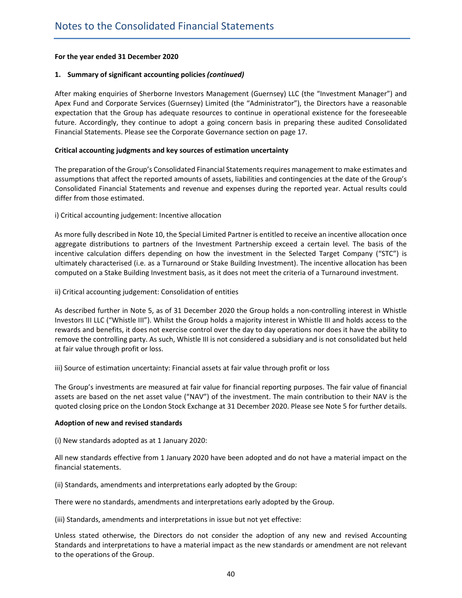# **1. Summary of significant accounting policies** *(continued)*

After making enquiries of Sherborne Investors Management (Guernsey) LLC (the "Investment Manager") and Apex Fund and Corporate Services (Guernsey) Limited (the "Administrator"), the Directors have a reasonable expectation that the Group has adequate resources to continue in operational existence for the foreseeable future. Accordingly, they continue to adopt a going concern basis in preparing these audited Consolidated Financial Statements. Please see the Corporate Governance section on page 17.

### **Critical accounting judgments and key sources of estimation uncertainty**

The preparation of the Group's Consolidated Financial Statements requires management to make estimates and assumptions that affect the reported amounts of assets, liabilities and contingencies at the date of the Group's Consolidated Financial Statements and revenue and expenses during the reported year. Actual results could differ from those estimated.

i) Critical accounting judgement: Incentive allocation

As more fully described in Note 10, the Special Limited Partner is entitled to receive an incentive allocation once aggregate distributions to partners of the Investment Partnership exceed a certain level. The basis of the incentive calculation differs depending on how the investment in the Selected Target Company ("STC") is ultimately characterised (i.e. as a Turnaround or Stake Building Investment). The incentive allocation has been computed on a Stake Building Investment basis, as it does not meet the criteria of a Turnaround investment.

ii) Critical accounting judgement: Consolidation of entities

As described further in Note 5, as of 31 December 2020 the Group holds a non‐controlling interest in Whistle Investors III LLC ("Whistle III"). Whilst the Group holds a majority interest in Whistle III and holds access to the rewards and benefits, it does not exercise control over the day to day operations nor does it have the ability to remove the controlling party. As such, Whistle III is not considered a subsidiary and is not consolidated but held at fair value through profit or loss.

iii) Source of estimation uncertainty: Financial assets at fair value through profit or loss

The Group's investments are measured at fair value for financial reporting purposes. The fair value of financial assets are based on the net asset value ("NAV") of the investment. The main contribution to their NAV is the quoted closing price on the London Stock Exchange at 31 December 2020. Please see Note 5 for further details.

### **Adoption of new and revised standards**

(i) New standards adopted as at 1 January 2020:

All new standards effective from 1 January 2020 have been adopted and do not have a material impact on the financial statements.

(ii) Standards, amendments and interpretations early adopted by the Group:

There were no standards, amendments and interpretations early adopted by the Group.

(iii) Standards, amendments and interpretations in issue but not yet effective:

Unless stated otherwise, the Directors do not consider the adoption of any new and revised Accounting Standards and interpretations to have a material impact as the new standards or amendment are not relevant to the operations of the Group.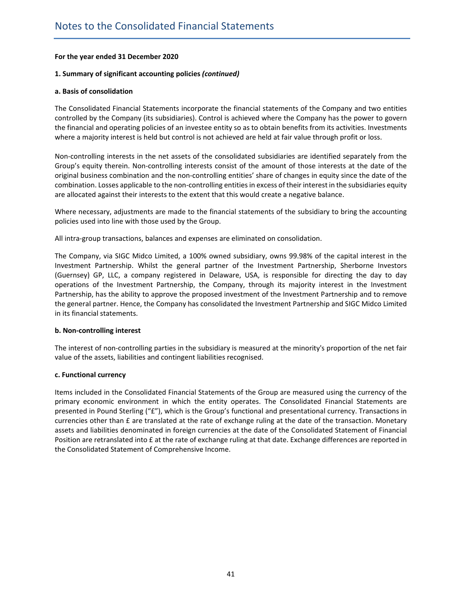# **1. Summary of significant accounting policies** *(continued)*

# **a. Basis of consolidation**

The Consolidated Financial Statements incorporate the financial statements of the Company and two entities controlled by the Company (its subsidiaries). Control is achieved where the Company has the power to govern the financial and operating policies of an investee entity so as to obtain benefits from its activities. Investments where a majority interest is held but control is not achieved are held at fair value through profit or loss.

Non‐controlling interests in the net assets of the consolidated subsidiaries are identified separately from the Group's equity therein. Non‐controlling interests consist of the amount of those interests at the date of the original business combination and the non‐controlling entities' share of changes in equity since the date of the combination. Losses applicable to the non‐controlling entitiesin excess of their interest in the subsidiaries equity are allocated against their interests to the extent that this would create a negative balance.

Where necessary, adjustments are made to the financial statements of the subsidiary to bring the accounting policies used into line with those used by the Group.

All intra‐group transactions, balances and expenses are eliminated on consolidation.

The Company, via SIGC Midco Limited, a 100% owned subsidiary, owns 99.98% of the capital interest in the Investment Partnership. Whilst the general partner of the Investment Partnership, Sherborne Investors (Guernsey) GP, LLC, a company registered in Delaware, USA, is responsible for directing the day to day operations of the Investment Partnership, the Company, through its majority interest in the Investment Partnership, has the ability to approve the proposed investment of the Investment Partnership and to remove the general partner. Hence, the Company has consolidated the Investment Partnership and SIGC Midco Limited in its financial statements.

# **b. Non‐controlling interest**

The interest of non-controlling parties in the subsidiary is measured at the minority's proportion of the net fair value of the assets, liabilities and contingent liabilities recognised.

### **c. Functional currency**

Items included in the Consolidated Financial Statements of the Group are measured using the currency of the primary economic environment in which the entity operates. The Consolidated Financial Statements are presented in Pound Sterling ("£"), which is the Group's functional and presentational currency. Transactions in currencies other than £ are translated at the rate of exchange ruling at the date of the transaction. Monetary assets and liabilities denominated in foreign currencies at the date of the Consolidated Statement of Financial Position are retranslated into £ at the rate of exchange ruling at that date. Exchange differences are reported in the Consolidated Statement of Comprehensive Income.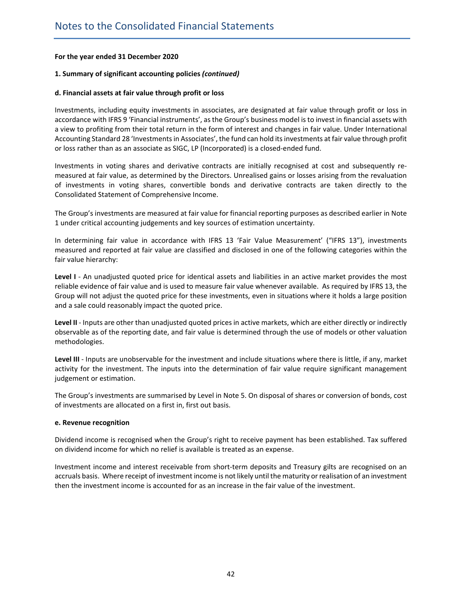# **1. Summary of significant accounting policies** *(continued)*

### **d. Financial assets at fair value through profit or loss**

Investments, including equity investments in associates, are designated at fair value through profit or loss in accordance with IFRS 9 'Financial instruments', as the Group's business model is to invest in financial assets with a view to profiting from their total return in the form of interest and changes in fair value. Under International Accounting Standard 28 'Investmentsin Associates', the fund can hold itsinvestments at fair value through profit or loss rather than as an associate as SIGC, LP (Incorporated) is a closed-ended fund.

Investments in voting shares and derivative contracts are initially recognised at cost and subsequently re‐ measured at fair value, as determined by the Directors. Unrealised gains or losses arising from the revaluation of investments in voting shares, convertible bonds and derivative contracts are taken directly to the Consolidated Statement of Comprehensive Income.

The Group's investments are measured at fair value for financial reporting purposes as described earlier in Note 1 under critical accounting judgements and key sources of estimation uncertainty.

In determining fair value in accordance with IFRS 13 'Fair Value Measurement' ("IFRS 13"), investments measured and reported at fair value are classified and disclosed in one of the following categories within the fair value hierarchy:

**Level I** ‐ An unadjusted quoted price for identical assets and liabilities in an active market provides the most reliable evidence of fair value and is used to measure fair value whenever available. As required by IFRS 13, the Group will not adjust the quoted price for these investments, even in situations where it holds a large position and a sale could reasonably impact the quoted price.

**Level II** ‐ Inputs are other than unadjusted quoted prices in active markets, which are either directly or indirectly observable as of the reporting date, and fair value is determined through the use of models or other valuation methodologies.

**Level III** ‐ Inputs are unobservable for the investment and include situations where there is little, if any, market activity for the investment. The inputs into the determination of fair value require significant management judgement or estimation.

The Group's investments are summarised by Level in Note 5. On disposal of shares or conversion of bonds, cost of investments are allocated on a first in, first out basis.

### **e. Revenue recognition**

Dividend income is recognised when the Group's right to receive payment has been established. Tax suffered on dividend income for which no relief is available is treated as an expense.

Investment income and interest receivable from short-term deposits and Treasury gilts are recognised on an accruals basis. Where receipt of investment income is not likely until the maturity orrealisation of an investment then the investment income is accounted for as an increase in the fair value of the investment.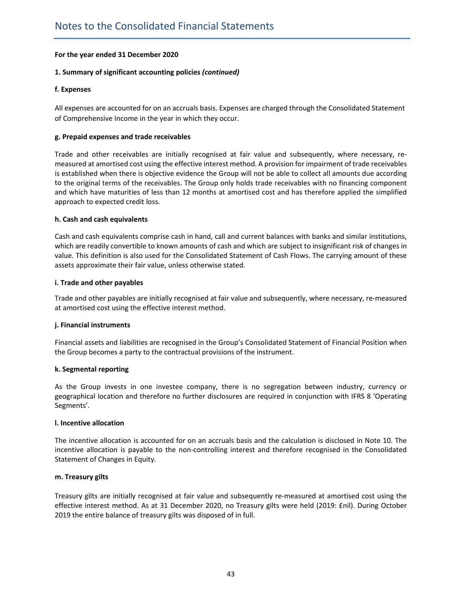# **1. Summary of significant accounting policies** *(continued)*

# **f. Expenses**

All expenses are accounted for on an accruals basis. Expenses are charged through the Consolidated Statement of Comprehensive Income in the year in which they occur.

### **g. Prepaid expenses and trade receivables**

Trade and other receivables are initially recognised at fair value and subsequently, where necessary, re‐ measured at amortised cost using the effective interest method. A provision for impairment of trade receivables is established when there is objective evidence the Group will not be able to collect all amounts due according to the original terms of the receivables. The Group only holds trade receivables with no financing component and which have maturities of less than 12 months at amortised cost and has therefore applied the simplified approach to expected credit loss.

# **h. Cash and cash equivalents**

Cash and cash equivalents comprise cash in hand, call and current balances with banks and similar institutions, which are readily convertible to known amounts of cash and which are subject to insignificant risk of changes in value. This definition is also used for the Consolidated Statement of Cash Flows. The carrying amount of these assets approximate their fair value, unless otherwise stated.

# **i. Trade and other payables**

Trade and other payables are initially recognised at fair value and subsequently, where necessary, re‐measured at amortised cost using the effective interest method.

### **j. Financial instruments**

Financial assets and liabilities are recognised in the Group's Consolidated Statement of Financial Position when the Group becomes a party to the contractual provisions of the instrument.

# **k. Segmental reporting**

As the Group invests in one investee company, there is no segregation between industry, currency or geographical location and therefore no further disclosures are required in conjunction with IFRS 8 'Operating Segments'.

### **l. Incentive allocation**

The incentive allocation is accounted for on an accruals basis and the calculation is disclosed in Note 10. The incentive allocation is payable to the non‐controlling interest and therefore recognised in the Consolidated Statement of Changes in Equity.

### **m. Treasury gilts**

Treasury gilts are initially recognised at fair value and subsequently re‐measured at amortised cost using the effective interest method. As at 31 December 2020, no Treasury gilts were held (2019: £nil). During October 2019 the entire balance of treasury gilts was disposed of in full.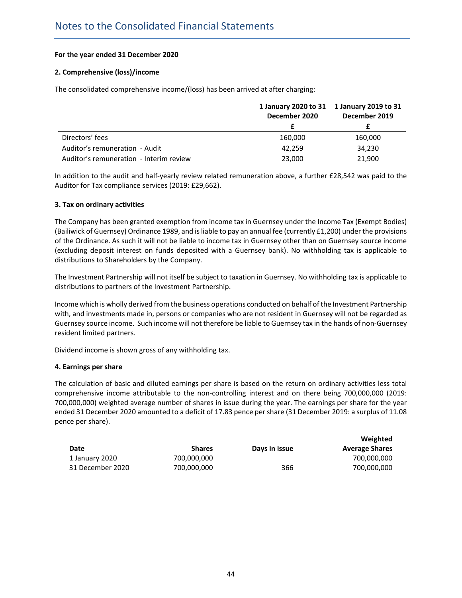# **2. Comprehensive (loss)/income**

The consolidated comprehensive income/(loss) has been arrived at after charging:

|                                         | December 2020 | 1 January 2020 to 31 1 January 2019 to 31<br>December 2019 |
|-----------------------------------------|---------------|------------------------------------------------------------|
|                                         |               |                                                            |
| Directors' fees                         | 160,000       | 160,000                                                    |
| Auditor's remuneration - Audit          | 42.259        | 34,230                                                     |
| Auditor's remuneration - Interim review | 23,000        | 21,900                                                     |

In addition to the audit and half‐yearly review related remuneration above, a further £28,542 was paid to the Auditor for Tax compliance services (2019: £29,662).

### **3. Tax on ordinary activities**

The Company has been granted exemption from income tax in Guernsey under the Income Tax (Exempt Bodies) (Bailiwick of Guernsey) Ordinance 1989, and isliable to pay an annual fee (currently £1,200) under the provisions of the Ordinance. As such it will not be liable to income tax in Guernsey other than on Guernsey source income (excluding deposit interest on funds deposited with a Guernsey bank). No withholding tax is applicable to distributions to Shareholders by the Company.

The Investment Partnership will not itself be subject to taxation in Guernsey. No withholding tax is applicable to distributions to partners of the Investment Partnership.

Income which is wholly derived from the business operations conducted on behalf of the Investment Partnership with, and investments made in, persons or companies who are not resident in Guernsey will not be regarded as Guernsey source income. Such income will not therefore be liable to Guernsey tax in the hands of non‐Guernsey resident limited partners.

Dividend income is shown gross of any withholding tax.

### **4. Earnings per share**

The calculation of basic and diluted earnings per share is based on the return on ordinary activities less total comprehensive income attributable to the non‐controlling interest and on there being 700,000,000 (2019: 700,000,000) weighted average number of shares in issue during the year. The earnings per share for the year ended 31 December 2020 amounted to a deficit of 17.83 pence per share (31 December 2019: a surplus of 11.08 pence per share).

|                  |               |               | Weighted              |
|------------------|---------------|---------------|-----------------------|
| Date             | <b>Shares</b> | Days in issue | <b>Average Shares</b> |
| 1 January 2020   | 700.000.000   |               | 700,000,000           |
| 31 December 2020 | 700,000,000   | 366           | 700,000,000           |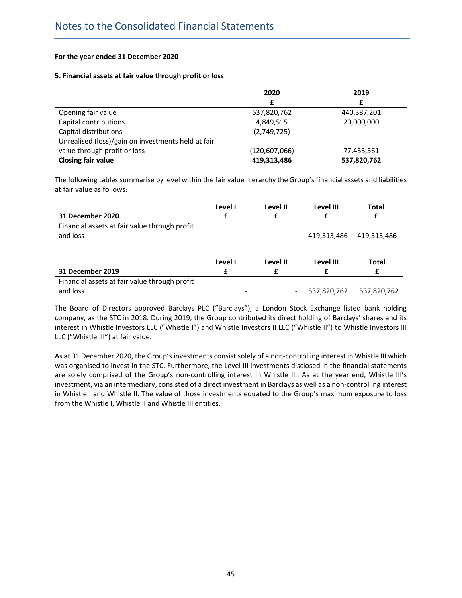### **5. Financial assets at fair value through profit or loss**

|                                                    | 2020            | 2019        |
|----------------------------------------------------|-----------------|-------------|
|                                                    | £               |             |
| Opening fair value                                 | 537,820,762     | 440,387,201 |
| Capital contributions                              | 4,849,515       | 20,000,000  |
| Capital distributions                              | (2,749,725)     |             |
| Unrealised (loss)/gain on investments held at fair |                 |             |
| value through profit or loss                       | (120, 607, 066) | 77,433,561  |
| <b>Closing fair value</b>                          | 419,313,486     | 537,820,762 |

The following tables summarise by level within the fair value hierarchy the Group's financial assets and liabilities at fair value as follows:

|                                               | Level I | Level II | Level III   | <b>Total</b> |
|-----------------------------------------------|---------|----------|-------------|--------------|
| 31 December 2020                              | £       | £        | £           |              |
| Financial assets at fair value through profit |         |          |             |              |
| and loss                                      |         |          | 419,313,486 | 419,313,486  |
|                                               |         |          |             |              |
|                                               | Level I | Level II | Level III   | <b>Total</b> |
| <b>31 December 2019</b>                       | £       |          | £           |              |
| Financial assets at fair value through profit |         |          |             |              |
| and loss                                      |         |          | 537,820,762 | 537,820,762  |

The Board of Directors approved Barclays PLC ("Barclays"), a London Stock Exchange listed bank holding company, as the STC in 2018. During 2019, the Group contributed its direct holding of Barclays' shares and its interest in Whistle Investors LLC ("Whistle I") and Whistle Investors II LLC ("Whistle II") to Whistle Investors III LLC ("Whistle III") at fair value.

As at 31 December 2020, the Group's investments consist solely of a non-controlling interest in Whistle III which was organised to invest in the STC. Furthermore, the Level III investments disclosed in the financial statements are solely comprised of the Group's non-controlling interest in Whistle III. As at the year end, Whistle III's investment, via an intermediary, consisted of a direct investment in Barclays as well as a non-controlling interest in Whistle I and Whistle II. The value of those investments equated to the Group's maximum exposure to loss from the Whistle I, Whistle II and Whistle III entities.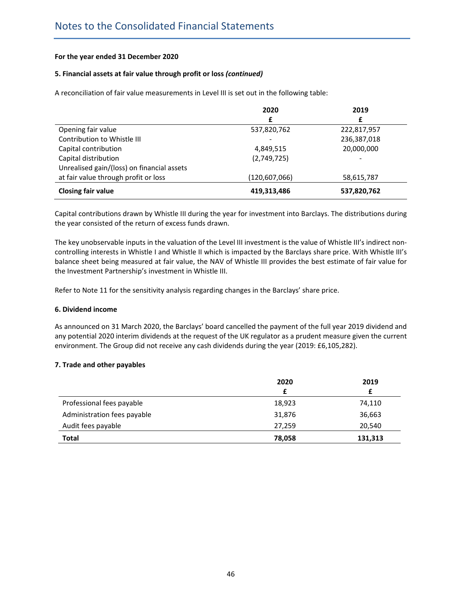# **5. Financial assets at fair value through profit or loss** *(continued)*

A reconciliation of fair value measurements in Level III is set out in the following table:

|                                            | 2020            | 2019        |
|--------------------------------------------|-----------------|-------------|
|                                            | £               | £           |
| Opening fair value                         | 537,820,762     | 222,817,957 |
| Contribution to Whistle III                |                 | 236,387,018 |
| Capital contribution                       | 4,849,515       | 20,000,000  |
| Capital distribution                       | (2,749,725)     |             |
| Unrealised gain/(loss) on financial assets |                 |             |
| at fair value through profit or loss       | (120, 607, 066) | 58,615,787  |
| <b>Closing fair value</b>                  | 419,313,486     | 537,820,762 |

Capital contributions drawn by Whistle III during the year for investment into Barclays. The distributions during the year consisted of the return of excess funds drawn.

The key unobservable inputs in the valuation of the Level III investment is the value of Whistle III's indirect non‐ controlling interests in Whistle I and Whistle II which is impacted by the Barclays share price. With Whistle III's balance sheet being measured at fair value, the NAV of Whistle III provides the best estimate of fair value for the Investment Partnership's investment in Whistle III.

Refer to Note 11 for the sensitivity analysis regarding changes in the Barclays' share price.

### **6. Dividend income**

As announced on 31 March 2020, the Barclays' board cancelled the payment of the full year 2019 dividend and any potential 2020 interim dividends at the request of the UK regulator as a prudent measure given the current environment. The Group did not receive any cash dividends during the year (2019: £6,105,282).

### **7. Trade and other payables**

|                             | 2020   | 2019    |
|-----------------------------|--------|---------|
|                             |        | £       |
| Professional fees payable   | 18,923 | 74,110  |
| Administration fees payable | 31,876 | 36,663  |
| Audit fees payable          | 27.259 | 20,540  |
| <b>Total</b>                | 78,058 | 131,313 |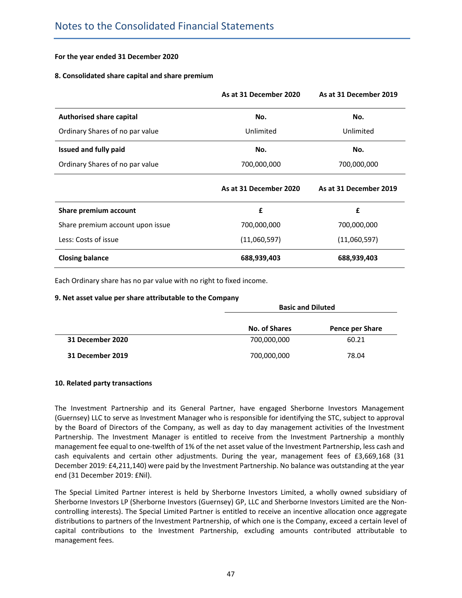### **8. Consolidated share capital and share premium**

|                                  | As at 31 December 2020 | As at 31 December 2019 |
|----------------------------------|------------------------|------------------------|
| <b>Authorised share capital</b>  | No.                    | No.                    |
| Ordinary Shares of no par value  | Unlimited              | Unlimited              |
| <b>Issued and fully paid</b>     | No.                    | No.                    |
| Ordinary Shares of no par value  | 700,000,000            | 700,000,000            |
|                                  | As at 31 December 2020 | As at 31 December 2019 |
| Share premium account            | £                      |                        |
|                                  |                        | £                      |
| Share premium account upon issue | 700,000,000            | 700,000,000            |
| Less: Costs of issue             | (11,060,597)           | (11,060,597)           |

Each Ordinary share has no par value with no right to fixed income.

### **9. Net asset value per share attributable to the Company**

|                  | <b>Basic and Diluted</b> |                 |
|------------------|--------------------------|-----------------|
|                  | <b>No. of Shares</b>     | Pence per Share |
| 31 December 2020 | 700,000,000              | 60.21           |
| 31 December 2019 | 700,000,000              | 78.04           |

### **10. Related party transactions**

The Investment Partnership and its General Partner, have engaged Sherborne Investors Management (Guernsey) LLC to serve as Investment Manager who is responsible for identifying the STC, subject to approval by the Board of Directors of the Company, as well as day to day management activities of the Investment Partnership. The Investment Manager is entitled to receive from the Investment Partnership a monthly management fee equal to one‐twelfth of 1% of the net asset value of the Investment Partnership, less cash and cash equivalents and certain other adjustments. During the year, management fees of £3,669,168 (31 December 2019: £4,211,140) were paid by the Investment Partnership. No balance was outstanding at the year end (31 December 2019: £Nil).

The Special Limited Partner interest is held by Sherborne Investors Limited, a wholly owned subsidiary of Sherborne Investors LP (Sherborne Investors (Guernsey) GP, LLC and Sherborne Investors Limited are the Non‐ controlling interests). The Special Limited Partner is entitled to receive an incentive allocation once aggregate distributions to partners of the Investment Partnership, of which one is the Company, exceed a certain level of capital contributions to the Investment Partnership, excluding amounts contributed attributable to management fees.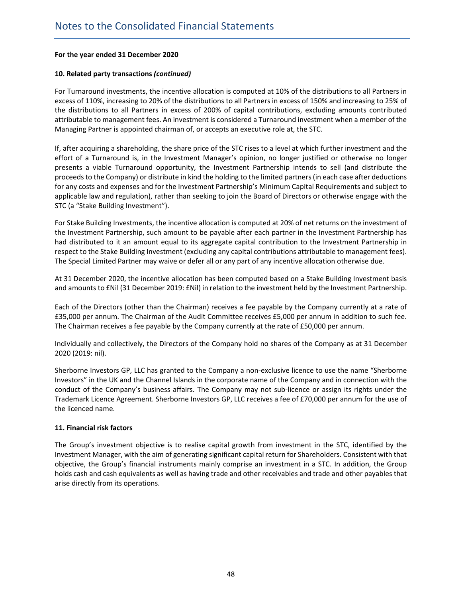# **10. Related party transactions** *(continued)*

For Turnaround investments, the incentive allocation is computed at 10% of the distributions to all Partners in excess of 110%, increasing to 20% of the distributions to all Partners in excess of 150% and increasing to 25% of the distributions to all Partners in excess of 200% of capital contributions, excluding amounts contributed attributable to management fees. An investment is considered a Turnaround investment when a member of the Managing Partner is appointed chairman of, or accepts an executive role at, the STC.

If, after acquiring a shareholding, the share price of the STC rises to a level at which further investment and the effort of a Turnaround is, in the Investment Manager's opinion, no longer justified or otherwise no longer presents a viable Turnaround opportunity, the Investment Partnership intends to sell (and distribute the proceedsto the Company) or distribute in kind the holding to the limited partners(in each case after deductions for any costs and expenses and for the Investment Partnership's Minimum Capital Requirements and subject to applicable law and regulation), rather than seeking to join the Board of Directors or otherwise engage with the STC (a "Stake Building Investment").

For Stake Building Investments, the incentive allocation is computed at 20% of net returns on the investment of the Investment Partnership, such amount to be payable after each partner in the Investment Partnership has had distributed to it an amount equal to its aggregate capital contribution to the Investment Partnership in respect to the Stake Building Investment (excluding any capital contributions attributable to management fees). The Special Limited Partner may waive or defer all or any part of any incentive allocation otherwise due.

At 31 December 2020, the incentive allocation has been computed based on a Stake Building Investment basis and amounts to £Nil (31 December 2019: £Nil) in relation to the investment held by the Investment Partnership.

Each of the Directors (other than the Chairman) receives a fee payable by the Company currently at a rate of £35,000 per annum. The Chairman of the Audit Committee receives £5,000 per annum in addition to such fee. The Chairman receives a fee payable by the Company currently at the rate of £50,000 per annum.

Individually and collectively, the Directors of the Company hold no shares of the Company as at 31 December 2020 (2019: nil).

Sherborne Investors GP, LLC has granted to the Company a non-exclusive licence to use the name "Sherborne" Investors" in the UK and the Channel Islands in the corporate name of the Company and in connection with the conduct of the Company's business affairs. The Company may not sub-licence or assign its rights under the Trademark Licence Agreement. Sherborne Investors GP, LLC receives a fee of £70,000 per annum for the use of the licenced name.

# **11. Financial risk factors**

The Group's investment objective is to realise capital growth from investment in the STC, identified by the Investment Manager, with the aim of generating significant capital return for Shareholders. Consistent with that objective, the Group's financial instruments mainly comprise an investment in a STC. In addition, the Group holds cash and cash equivalents as well as having trade and other receivables and trade and other payables that arise directly from its operations.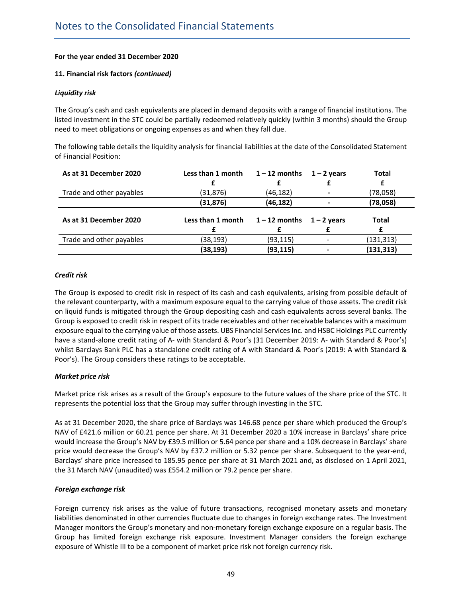# **11. Financial risk factors** *(continued)*

### *Liquidity risk*

The Group's cash and cash equivalents are placed in demand deposits with a range of financial institutions. The listed investment in the STC could be partially redeemed relatively quickly (within 3 months) should the Group need to meet obligations or ongoing expenses as and when they fall due.

The following table details the liquidity analysis for financial liabilities at the date of the Consolidated Statement of Financial Position:

| As at 31 December 2020   | Less than 1 month | $1 - 12$ months | $1 - 2$ years | <b>Total</b> |
|--------------------------|-------------------|-----------------|---------------|--------------|
|                          |                   |                 |               |              |
| Trade and other payables | (31, 876)         | (46, 182)       |               | (78,058)     |
|                          | (31, 876)         | (46, 182)       |               | (78,058)     |
| As at 31 December 2020   | Less than 1 month | $1 - 12$ months | $1 - 2$ vears | Total        |
|                          |                   |                 |               | £            |
| Trade and other payables | (38,193)          | (93, 115)       |               | (131, 313)   |
|                          | (38, 193)         | (93, 115)       |               | (131, 313)   |

### *Credit risk*

The Group is exposed to credit risk in respect of its cash and cash equivalents, arising from possible default of the relevant counterparty, with a maximum exposure equal to the carrying value of those assets. The credit risk on liquid funds is mitigated through the Group depositing cash and cash equivalents across several banks. The Group is exposed to credit risk in respect of its trade receivables and other receivable balances with a maximum exposure equal to the carrying value of those assets. UBS Financial Services Inc. and HSBC Holdings PLC currently have a stand-alone credit rating of A- with Standard & Poor's (31 December 2019: A- with Standard & Poor's) whilst Barclays Bank PLC has a standalone credit rating of A with Standard & Poor's (2019: A with Standard & Poor's). The Group considers these ratings to be acceptable.

### *Market price risk*

Market price risk arises as a result of the Group's exposure to the future values of the share price of the STC. It represents the potential loss that the Group may suffer through investing in the STC.

As at 31 December 2020, the share price of Barclays was 146.68 pence per share which produced the Group's NAV of £421.6 million or 60.21 pence per share. At 31 December 2020 a 10% increase in Barclays' share price would increase the Group's NAV by £39.5 million or 5.64 pence per share and a 10% decrease in Barclays' share price would decrease the Group's NAV by £37.2 million or 5.32 pence per share. Subsequent to the year-end, Barclays' share price increased to 185.95 pence per share at 31 March 2021 and, as disclosed on 1 April 2021, the 31 March NAV (unaudited) was £554.2 million or 79.2 pence per share.

### *Foreign exchange risk*

Foreign currency risk arises as the value of future transactions, recognised monetary assets and monetary liabilities denominated in other currencies fluctuate due to changes in foreign exchange rates. The Investment Manager monitors the Group's monetary and non‐monetary foreign exchange exposure on a regular basis. The Group has limited foreign exchange risk exposure. Investment Manager considers the foreign exchange exposure of Whistle III to be a component of market price risk not foreign currency risk.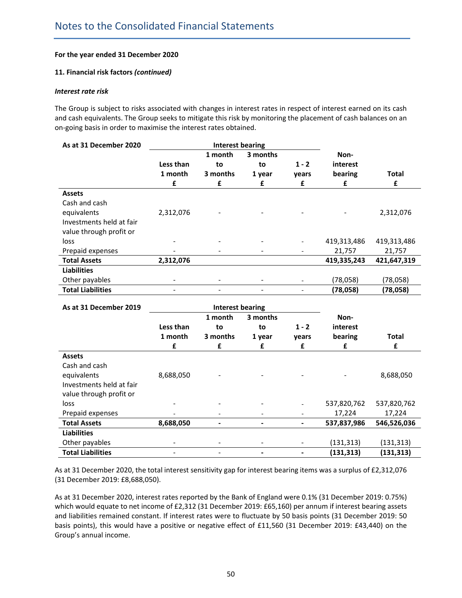# **11. Financial risk factors** *(continued)*

### *Interest rate risk*

The Group is subject to risks associated with changes in interest rates in respect of interest earned on its cash and cash equivalents. The Group seeks to mitigate this risk by monitoring the placement of cash balances on an on‐going basis in order to maximise the interest rates obtained.

| As at 31 December 2020   | <b>Interest bearing</b> |                               |          |                              |             |             |
|--------------------------|-------------------------|-------------------------------|----------|------------------------------|-------------|-------------|
|                          |                         | 1 month                       | 3 months |                              | Non-        |             |
|                          | Less than               | to                            | to       | $1 - 2$                      | interest    |             |
|                          | 1 month                 | 3 months                      | 1 year   | vears                        | bearing     | Total       |
|                          | £                       | £                             | £        | £                            | £           | £           |
| <b>Assets</b>            |                         |                               |          |                              |             |             |
| Cash and cash            |                         |                               |          |                              |             |             |
| equivalents              | 2,312,076               |                               |          |                              |             | 2,312,076   |
| Investments held at fair |                         |                               |          |                              |             |             |
| value through profit or  |                         |                               |          |                              |             |             |
| loss                     |                         |                               |          |                              | 419,313,486 | 419,313,486 |
| Prepaid expenses         |                         |                               |          |                              | 21,757      | 21,757      |
| <b>Total Assets</b>      | 2,312,076               |                               |          |                              | 419,335,243 | 421,647,319 |
| <b>Liabilities</b>       |                         |                               |          |                              |             |             |
| Other payables           |                         |                               |          | $\qquad \qquad \blacksquare$ | (78,058)    | (78,058)    |
| <b>Total Liabilities</b> |                         |                               |          |                              | (78, 058)   | (78,058)    |
| $A - 134 B - 1111$       |                         | والمتقدم والمستقيم والمستنقصة |          |                              |             |             |

| AS 41 ST DECEMBER 2013   | <b>INCREST DEATING</b> |          |          |         |             |              |
|--------------------------|------------------------|----------|----------|---------|-------------|--------------|
|                          |                        | 1 month  | 3 months |         | Non-        |              |
|                          | Less than              | to       | to       | $1 - 2$ | interest    |              |
|                          | 1 month                | 3 months | 1 year   | years   | bearing     | <b>Total</b> |
|                          | £                      | £        | £        | £       | £           | £            |
| <b>Assets</b>            |                        |          |          |         |             |              |
| Cash and cash            |                        |          |          |         |             |              |
| equivalents              | 8,688,050              |          |          |         |             | 8,688,050    |
| Investments held at fair |                        |          |          |         |             |              |
| value through profit or  |                        |          |          |         |             |              |
| loss                     |                        |          |          |         | 537,820,762 | 537,820,762  |
| Prepaid expenses         |                        |          |          |         | 17,224      | 17,224       |
| <b>Total Assets</b>      | 8,688,050              |          |          | ٠       | 537,837,986 | 546,526,036  |
| <b>Liabilities</b>       |                        |          |          |         |             |              |
| Other payables           |                        |          |          |         | (131, 313)  | (131, 313)   |
| <b>Total Liabilities</b> |                        |          |          |         | (131, 313)  | (131, 313)   |

As at 31 December 2020, the total interest sensitivity gap for interest bearing items was a surplus of £2,312,076 (31 December 2019: £8,688,050).

As at 31 December 2020, interest rates reported by the Bank of England were 0.1% (31 December 2019: 0.75%) which would equate to net income of £2,312 (31 December 2019: £65,160) per annum if interest bearing assets and liabilities remained constant. If interest rates were to fluctuate by 50 basis points (31 December 2019: 50 basis points), this would have a positive or negative effect of £11,560 (31 December 2019: £43,440) on the Group's annual income.